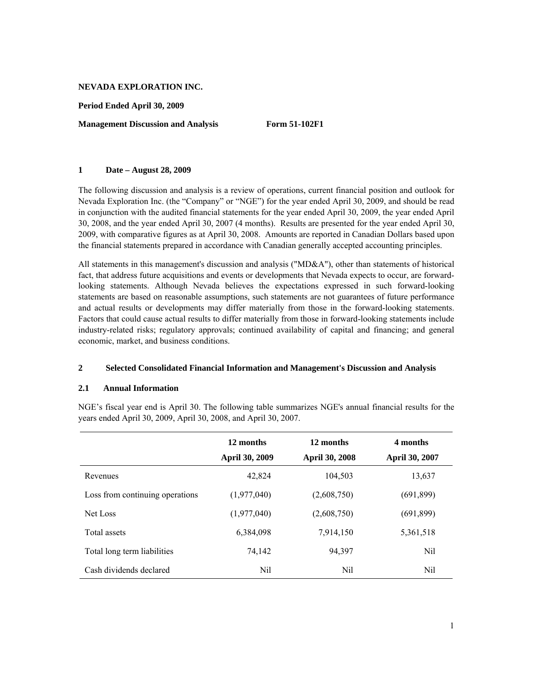**Period Ended April 30, 2009** 

**Management Discussion and Analysis Form 51-102F1** 

## **1 Date – August 28, 2009**

The following discussion and analysis is a review of operations, current financial position and outlook for Nevada Exploration Inc. (the "Company" or "NGE") for the year ended April 30, 2009, and should be read in conjunction with the audited financial statements for the year ended April 30, 2009, the year ended April 30, 2008, and the year ended April 30, 2007 (4 months). Results are presented for the year ended April 30, 2009, with comparative figures as at April 30, 2008. Amounts are reported in Canadian Dollars based upon the financial statements prepared in accordance with Canadian generally accepted accounting principles.

All statements in this management's discussion and analysis ("MD&A"), other than statements of historical fact, that address future acquisitions and events or developments that Nevada expects to occur, are forwardlooking statements. Although Nevada believes the expectations expressed in such forward-looking statements are based on reasonable assumptions, such statements are not guarantees of future performance and actual results or developments may differ materially from those in the forward-looking statements. Factors that could cause actual results to differ materially from those in forward-looking statements include industry-related risks; regulatory approvals; continued availability of capital and financing; and general economic, market, and business conditions.

# **2 Selected Consolidated Financial Information and Management's Discussion and Analysis**

# **2.1 Annual Information**

NGE's fiscal year end is April 30. The following table summarizes NGE's annual financial results for the years ended April 30, 2009, April 30, 2008, and April 30, 2007.

|                                 | 12 months<br>April 30, 2009 | 12 months<br>April 30, 2008 | 4 months<br>April 30, 2007 |
|---------------------------------|-----------------------------|-----------------------------|----------------------------|
| Revenues                        | 42,824                      | 104,503                     | 13,637                     |
| Loss from continuing operations | (1,977,040)                 | (2,608,750)                 | (691, 899)                 |
| Net Loss                        | (1,977,040)                 | (2,608,750)                 | (691, 899)                 |
| Total assets                    | 6,384,098                   | 7,914,150                   | 5,361,518                  |
| Total long term liabilities     | 74,142                      | 94,397                      | Nil                        |
| Cash dividends declared         | Nil                         | Nil                         | Nil                        |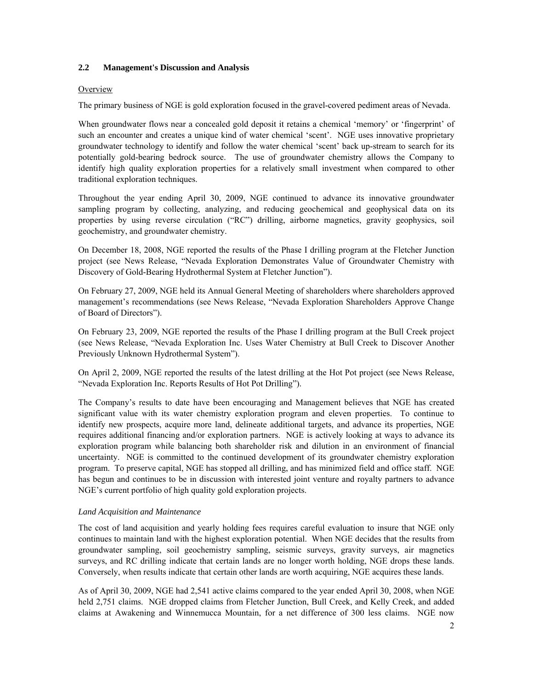## **2.2 Management's Discussion and Analysis**

### **Overview**

The primary business of NGE is gold exploration focused in the gravel-covered pediment areas of Nevada.

When groundwater flows near a concealed gold deposit it retains a chemical 'memory' or 'fingerprint' of such an encounter and creates a unique kind of water chemical 'scent'. NGE uses innovative proprietary groundwater technology to identify and follow the water chemical 'scent' back up-stream to search for its potentially gold-bearing bedrock source. The use of groundwater chemistry allows the Company to identify high quality exploration properties for a relatively small investment when compared to other traditional exploration techniques.

Throughout the year ending April 30, 2009, NGE continued to advance its innovative groundwater sampling program by collecting, analyzing, and reducing geochemical and geophysical data on its properties by using reverse circulation ("RC") drilling, airborne magnetics, gravity geophysics, soil geochemistry, and groundwater chemistry.

On December 18, 2008, NGE reported the results of the Phase I drilling program at the Fletcher Junction project (see News Release, "Nevada Exploration Demonstrates Value of Groundwater Chemistry with Discovery of Gold-Bearing Hydrothermal System at Fletcher Junction").

On February 27, 2009, NGE held its Annual General Meeting of shareholders where shareholders approved management's recommendations (see News Release, "Nevada Exploration Shareholders Approve Change of Board of Directors").

On February 23, 2009, NGE reported the results of the Phase I drilling program at the Bull Creek project (see News Release, "Nevada Exploration Inc. Uses Water Chemistry at Bull Creek to Discover Another Previously Unknown Hydrothermal System").

On April 2, 2009, NGE reported the results of the latest drilling at the Hot Pot project (see News Release, "Nevada Exploration Inc. Reports Results of Hot Pot Drilling").

The Company's results to date have been encouraging and Management believes that NGE has created significant value with its water chemistry exploration program and eleven properties. To continue to identify new prospects, acquire more land, delineate additional targets, and advance its properties, NGE requires additional financing and/or exploration partners. NGE is actively looking at ways to advance its exploration program while balancing both shareholder risk and dilution in an environment of financial uncertainty. NGE is committed to the continued development of its groundwater chemistry exploration program. To preserve capital, NGE has stopped all drilling, and has minimized field and office staff. NGE has begun and continues to be in discussion with interested joint venture and royalty partners to advance NGE's current portfolio of high quality gold exploration projects.

# *Land Acquisition and Maintenance*

The cost of land acquisition and yearly holding fees requires careful evaluation to insure that NGE only continues to maintain land with the highest exploration potential. When NGE decides that the results from groundwater sampling, soil geochemistry sampling, seismic surveys, gravity surveys, air magnetics surveys, and RC drilling indicate that certain lands are no longer worth holding, NGE drops these lands. Conversely, when results indicate that certain other lands are worth acquiring, NGE acquires these lands.

As of April 30, 2009, NGE had 2,541 active claims compared to the year ended April 30, 2008, when NGE held 2,751 claims. NGE dropped claims from Fletcher Junction, Bull Creek, and Kelly Creek, and added claims at Awakening and Winnemucca Mountain, for a net difference of 300 less claims. NGE now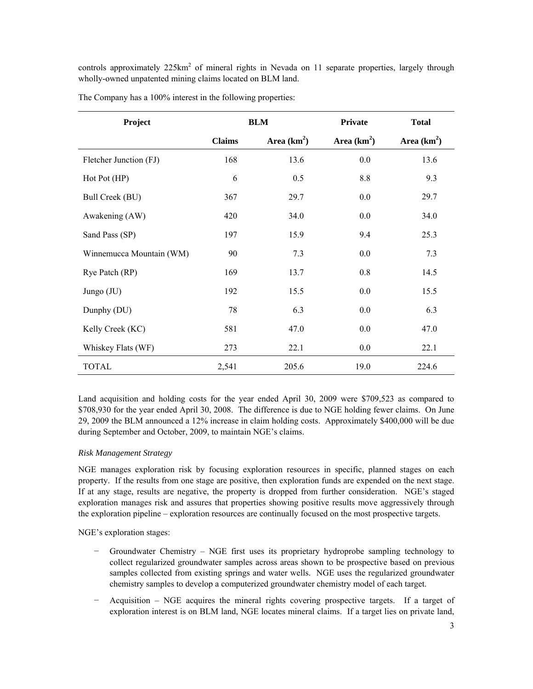controls approximately 225km<sup>2</sup> of mineral rights in Nevada on 11 separate properties, largely through wholly-owned unpatented mining claims located on BLM land.

| Project                  | <b>BLM</b>    |               | Private       | <b>Total</b>  |
|--------------------------|---------------|---------------|---------------|---------------|
|                          | <b>Claims</b> | Area $(km^2)$ | Area $(km^2)$ | Area $(km^2)$ |
| Fletcher Junction (FJ)   | 168           | 13.6          | $0.0\,$       | 13.6          |
| Hot Pot (HP)             | 6             | 0.5           | 8.8           | 9.3           |
| Bull Creek (BU)          | 367           | 29.7          | 0.0           | 29.7          |
| Awakening (AW)           | 420           | 34.0          | $0.0\,$       | 34.0          |
| Sand Pass (SP)           | 197           | 15.9          | 9.4           | 25.3          |
| Winnemucca Mountain (WM) | 90            | 7.3           | $0.0\,$       | 7.3           |
| Rye Patch (RP)           | 169           | 13.7          | 0.8           | 14.5          |
| Jungo (JU)               | 192           | 15.5          | 0.0           | 15.5          |
| Dunphy (DU)              | 78            | 6.3           | $0.0\,$       | 6.3           |
| Kelly Creek (KC)         | 581           | 47.0          | 0.0           | 47.0          |
| Whiskey Flats (WF)       | 273           | 22.1          | $0.0\,$       | 22.1          |
| TOTAL                    | 2,541         | 205.6         | 19.0          | 224.6         |

The Company has a 100% interest in the following properties:

Land acquisition and holding costs for the year ended April 30, 2009 were \$709,523 as compared to \$708,930 for the year ended April 30, 2008. The difference is due to NGE holding fewer claims. On June 29, 2009 the BLM announced a 12% increase in claim holding costs. Approximately \$400,000 will be due during September and October, 2009, to maintain NGE's claims.

# *Risk Management Strategy*

NGE manages exploration risk by focusing exploration resources in specific, planned stages on each property. If the results from one stage are positive, then exploration funds are expended on the next stage. If at any stage, results are negative, the property is dropped from further consideration. NGE's staged exploration manages risk and assures that properties showing positive results move aggressively through the exploration pipeline – exploration resources are continually focused on the most prospective targets.

NGE's exploration stages:

- − Groundwater Chemistry NGE first uses its proprietary hydroprobe sampling technology to collect regularized groundwater samples across areas shown to be prospective based on previous samples collected from existing springs and water wells. NGE uses the regularized groundwater chemistry samples to develop a computerized groundwater chemistry model of each target.
- − Acquisition NGE acquires the mineral rights covering prospective targets. If a target of exploration interest is on BLM land, NGE locates mineral claims. If a target lies on private land,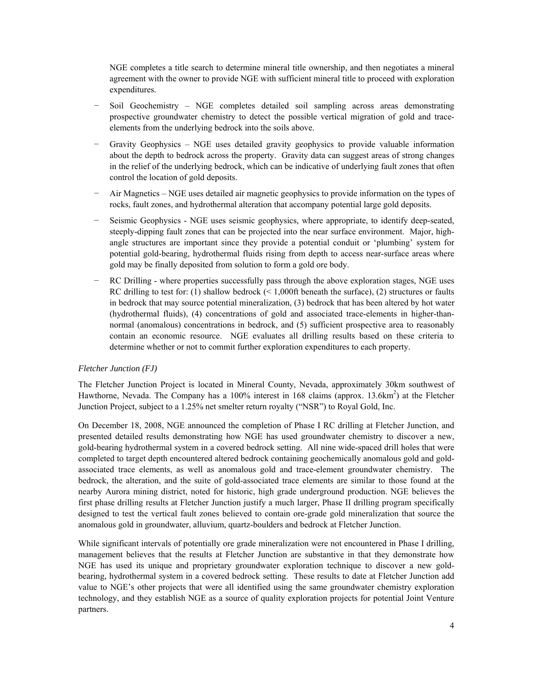NGE completes a title search to determine mineral title ownership, and then negotiates a mineral agreement with the owner to provide NGE with sufficient mineral title to proceed with exploration expenditures.

- Soil Geochemistry NGE completes detailed soil sampling across areas demonstrating prospective groundwater chemistry to detect the possible vertical migration of gold and traceelements from the underlying bedrock into the soils above.
- Gravity Geophysics NGE uses detailed gravity geophysics to provide valuable information about the depth to bedrock across the property. Gravity data can suggest areas of strong changes in the relief of the underlying bedrock, which can be indicative of underlying fault zones that often control the location of gold deposits.
- − Air Magnetics NGE uses detailed air magnetic geophysics to provide information on the types of rocks, fault zones, and hydrothermal alteration that accompany potential large gold deposits.
- Seismic Geophysics NGE uses seismic geophysics, where appropriate, to identify deep-seated, steeply-dipping fault zones that can be projected into the near surface environment. Major, highangle structures are important since they provide a potential conduit or 'plumbing' system for potential gold-bearing, hydrothermal fluids rising from depth to access near-surface areas where gold may be finally deposited from solution to form a gold ore body.
- RC Drilling where properties successfully pass through the above exploration stages, NGE uses RC drilling to test for: (1) shallow bedrock  $($  < 1,000ft beneath the surface), (2) structures or faults in bedrock that may source potential mineralization, (3) bedrock that has been altered by hot water (hydrothermal fluids), (4) concentrations of gold and associated trace-elements in higher-thannormal (anomalous) concentrations in bedrock, and (5) sufficient prospective area to reasonably contain an economic resource. NGE evaluates all drilling results based on these criteria to determine whether or not to commit further exploration expenditures to each property.

### *Fletcher Junction (FJ)*

The Fletcher Junction Project is located in Mineral County, Nevada, approximately 30km southwest of Hawthorne, Nevada. The Company has a 100% interest in 168 claims (approx. 13.6km<sup>2</sup>) at the Fletcher Junction Project, subject to a 1.25% net smelter return royalty ("NSR") to Royal Gold, Inc.

On December 18, 2008, NGE announced the completion of Phase I RC drilling at Fletcher Junction, and presented detailed results demonstrating how NGE has used groundwater chemistry to discover a new, gold-bearing hydrothermal system in a covered bedrock setting. All nine wide-spaced drill holes that were completed to target depth encountered altered bedrock containing geochemically anomalous gold and goldassociated trace elements, as well as anomalous gold and trace-element groundwater chemistry. The bedrock, the alteration, and the suite of gold-associated trace elements are similar to those found at the nearby Aurora mining district, noted for historic, high grade underground production. NGE believes the first phase drilling results at Fletcher Junction justify a much larger, Phase II drilling program specifically designed to test the vertical fault zones believed to contain ore-grade gold mineralization that source the anomalous gold in groundwater, alluvium, quartz-boulders and bedrock at Fletcher Junction.

While significant intervals of potentially ore grade mineralization were not encountered in Phase I drilling, management believes that the results at Fletcher Junction are substantive in that they demonstrate how NGE has used its unique and proprietary groundwater exploration technique to discover a new goldbearing, hydrothermal system in a covered bedrock setting. These results to date at Fletcher Junction add value to NGE's other projects that were all identified using the same groundwater chemistry exploration technology, and they establish NGE as a source of quality exploration projects for potential Joint Venture partners.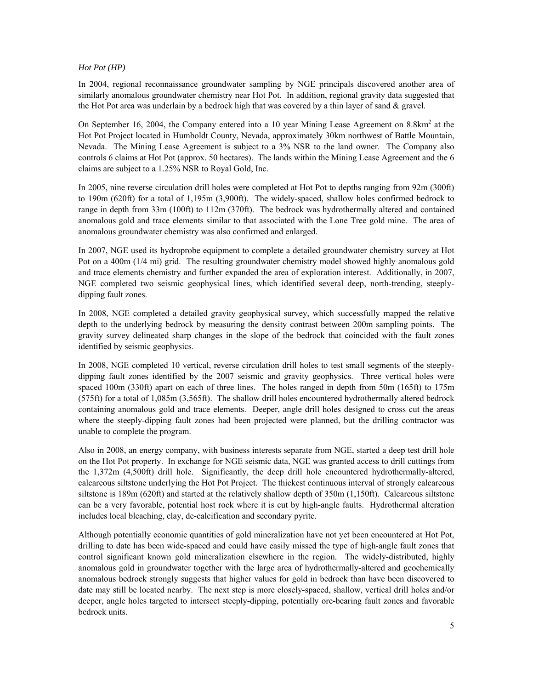# *Hot Pot (HP)*

In 2004, regional reconnaissance groundwater sampling by NGE principals discovered another area of similarly anomalous groundwater chemistry near Hot Pot. In addition, regional gravity data suggested that the Hot Pot area was underlain by a bedrock high that was covered by a thin layer of sand  $\&$  gravel.

On September 16, 2004, the Company entered into a 10 year Mining Lease Agreement on 8.8km<sup>2</sup> at the Hot Pot Project located in Humboldt County, Nevada, approximately 30km northwest of Battle Mountain, Nevada. The Mining Lease Agreement is subject to a 3% NSR to the land owner. The Company also controls 6 claims at Hot Pot (approx. 50 hectares). The lands within the Mining Lease Agreement and the 6 claims are subject to a 1.25% NSR to Royal Gold, Inc.

In 2005, nine reverse circulation drill holes were completed at Hot Pot to depths ranging from 92m (300ft) to 190m (620ft) for a total of 1,195m (3,900ft). The widely-spaced, shallow holes confirmed bedrock to range in depth from 33m (100ft) to 112m (370ft). The bedrock was hydrothermally altered and contained anomalous gold and trace elements similar to that associated with the Lone Tree gold mine. The area of anomalous groundwater chemistry was also confirmed and enlarged.

In 2007, NGE used its hydroprobe equipment to complete a detailed groundwater chemistry survey at Hot Pot on a 400m (1/4 mi) grid. The resulting groundwater chemistry model showed highly anomalous gold and trace elements chemistry and further expanded the area of exploration interest. Additionally, in 2007, NGE completed two seismic geophysical lines, which identified several deep, north-trending, steeplydipping fault zones.

In 2008, NGE completed a detailed gravity geophysical survey, which successfully mapped the relative depth to the underlying bedrock by measuring the density contrast between 200m sampling points. The gravity survey delineated sharp changes in the slope of the bedrock that coincided with the fault zones identified by seismic geophysics.

In 2008, NGE completed 10 vertical, reverse circulation drill holes to test small segments of the steeplydipping fault zones identified by the 2007 seismic and gravity geophysics. Three vertical holes were spaced 100m (330ft) apart on each of three lines. The holes ranged in depth from 50m (165ft) to 175m (575ft) for a total of 1,085m (3,565ft). The shallow drill holes encountered hydrothermally altered bedrock containing anomalous gold and trace elements. Deeper, angle drill holes designed to cross cut the areas where the steeply-dipping fault zones had been projected were planned, but the drilling contractor was unable to complete the program.

Also in 2008, an energy company, with business interests separate from NGE, started a deep test drill hole on the Hot Pot property. In exchange for NGE seismic data, NGE was granted access to drill cuttings from the 1,372m (4,500ft) drill hole. Significantly, the deep drill hole encountered hydrothermally-altered, calcareous siltstone underlying the Hot Pot Project. The thickest continuous interval of strongly calcareous siltstone is 189m (620ft) and started at the relatively shallow depth of 350m (1,150ft). Calcareous siltstone can be a very favorable, potential host rock where it is cut by high-angle faults. Hydrothermal alteration includes local bleaching, clay, de-calcification and secondary pyrite.

Although potentially economic quantities of gold mineralization have not yet been encountered at Hot Pot, drilling to date has been wide-spaced and could have easily missed the type of high-angle fault zones that control significant known gold mineralization elsewhere in the region. The widely-distributed, highly anomalous gold in groundwater together with the large area of hydrothermally-altered and geochemically anomalous bedrock strongly suggests that higher values for gold in bedrock than have been discovered to date may still be located nearby. The next step is more closely-spaced, shallow, vertical drill holes and/or deeper, angle holes targeted to intersect steeply-dipping, potentially ore-bearing fault zones and favorable bedrock units.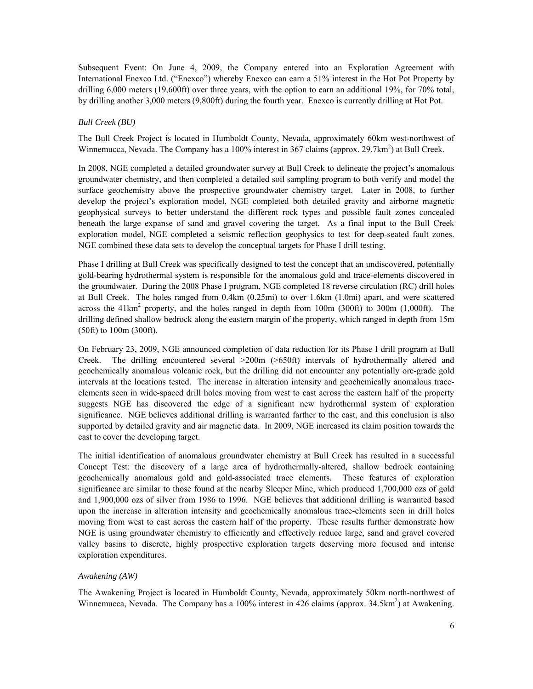Subsequent Event: On June 4, 2009, the Company entered into an Exploration Agreement with International Enexco Ltd. ("Enexco") whereby Enexco can earn a 51% interest in the Hot Pot Property by drilling 6,000 meters (19,600ft) over three years, with the option to earn an additional 19%, for 70% total, by drilling another 3,000 meters (9,800ft) during the fourth year. Enexco is currently drilling at Hot Pot.

### *Bull Creek (BU)*

The Bull Creek Project is located in Humboldt County, Nevada, approximately 60km west-northwest of Winnemucca, Nevada. The Company has a 100% interest in 367 claims (approx. 29.7km<sup>2</sup>) at Bull Creek.

In 2008, NGE completed a detailed groundwater survey at Bull Creek to delineate the project's anomalous groundwater chemistry, and then completed a detailed soil sampling program to both verify and model the surface geochemistry above the prospective groundwater chemistry target. Later in 2008, to further develop the project's exploration model, NGE completed both detailed gravity and airborne magnetic geophysical surveys to better understand the different rock types and possible fault zones concealed beneath the large expanse of sand and gravel covering the target. As a final input to the Bull Creek exploration model, NGE completed a seismic reflection geophysics to test for deep-seated fault zones. NGE combined these data sets to develop the conceptual targets for Phase I drill testing.

Phase I drilling at Bull Creek was specifically designed to test the concept that an undiscovered, potentially gold-bearing hydrothermal system is responsible for the anomalous gold and trace-elements discovered in the groundwater. During the 2008 Phase I program, NGE completed 18 reverse circulation (RC) drill holes at Bull Creek. The holes ranged from 0.4km (0.25mi) to over 1.6km (1.0mi) apart, and were scattered across the  $41 \text{km}^2$  property, and the holes ranged in depth from 100m (300ft) to 300m (1,000ft). The drilling defined shallow bedrock along the eastern margin of the property, which ranged in depth from 15m (50ft) to 100m (300ft).

On February 23, 2009, NGE announced completion of data reduction for its Phase I drill program at Bull Creek. The drilling encountered several >200m (>650ft) intervals of hydrothermally altered and geochemically anomalous volcanic rock, but the drilling did not encounter any potentially ore-grade gold intervals at the locations tested. The increase in alteration intensity and geochemically anomalous traceelements seen in wide-spaced drill holes moving from west to east across the eastern half of the property suggests NGE has discovered the edge of a significant new hydrothermal system of exploration significance. NGE believes additional drilling is warranted farther to the east, and this conclusion is also supported by detailed gravity and air magnetic data. In 2009, NGE increased its claim position towards the east to cover the developing target.

The initial identification of anomalous groundwater chemistry at Bull Creek has resulted in a successful Concept Test: the discovery of a large area of hydrothermally-altered, shallow bedrock containing geochemically anomalous gold and gold-associated trace elements. These features of exploration significance are similar to those found at the nearby Sleeper Mine, which produced 1,700,000 ozs of gold and 1,900,000 ozs of silver from 1986 to 1996. NGE believes that additional drilling is warranted based upon the increase in alteration intensity and geochemically anomalous trace-elements seen in drill holes moving from west to east across the eastern half of the property. These results further demonstrate how NGE is using groundwater chemistry to efficiently and effectively reduce large, sand and gravel covered valley basins to discrete, highly prospective exploration targets deserving more focused and intense exploration expenditures.

### *Awakening (AW)*

The Awakening Project is located in Humboldt County, Nevada, approximately 50km north-northwest of Winnemucca, Nevada. The Company has a 100% interest in 426 claims (approx. 34.5km<sup>2</sup>) at Awakening.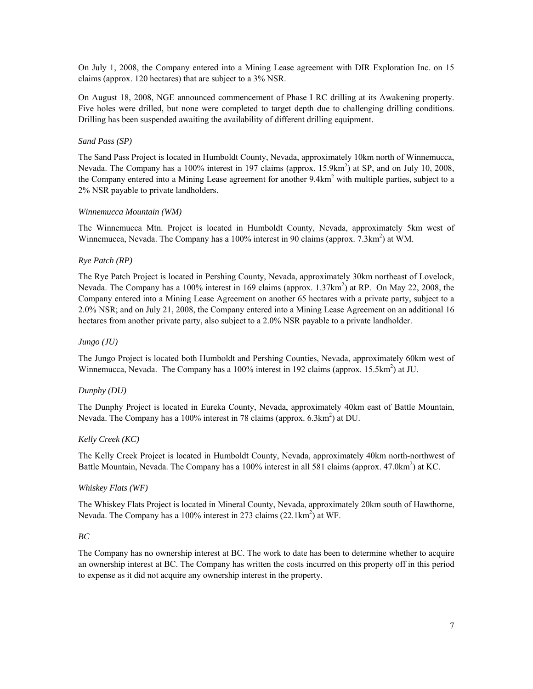On July 1, 2008, the Company entered into a Mining Lease agreement with DIR Exploration Inc. on 15 claims (approx. 120 hectares) that are subject to a 3% NSR.

On August 18, 2008, NGE announced commencement of Phase I RC drilling at its Awakening property. Five holes were drilled, but none were completed to target depth due to challenging drilling conditions. Drilling has been suspended awaiting the availability of different drilling equipment.

# *Sand Pass (SP)*

The Sand Pass Project is located in Humboldt County, Nevada, approximately 10km north of Winnemucca, Nevada. The Company has a 100% interest in 197 claims (approx. 15.9km<sup>2</sup>) at SP, and on July 10, 2008, the Company entered into a Mining Lease agreement for another 9.4km<sup>2</sup> with multiple parties, subject to a 2% NSR payable to private landholders.

# *Winnemucca Mountain (WM)*

The Winnemucca Mtn. Project is located in Humboldt County, Nevada, approximately 5km west of Winnemucca, Nevada. The Company has a  $100\%$  interest in 90 claims (approx. 7.3km<sup>2</sup>) at WM.

# *Rye Patch (RP)*

The Rye Patch Project is located in Pershing County, Nevada, approximately 30km northeast of Lovelock, Nevada. The Company has a 100% interest in 169 claims (approx. 1.37km<sup>2</sup>) at RP. On May 22, 2008, the Company entered into a Mining Lease Agreement on another 65 hectares with a private party, subject to a 2.0% NSR; and on July 21, 2008, the Company entered into a Mining Lease Agreement on an additional 16 hectares from another private party, also subject to a 2.0% NSR payable to a private landholder.

## *Jungo (JU)*

The Jungo Project is located both Humboldt and Pershing Counties, Nevada, approximately 60km west of Winnemucca, Nevada. The Company has a 100% interest in 192 claims (approx. 15.5km<sup>2</sup>) at JU.

# *Dunphy (DU)*

The Dunphy Project is located in Eureka County, Nevada, approximately 40km east of Battle Mountain, Nevada. The Company has a 100% interest in 78 claims (approx. 6.3km<sup>2</sup>) at DU.

# *Kelly Creek (KC)*

The Kelly Creek Project is located in Humboldt County, Nevada, approximately 40km north-northwest of Battle Mountain, Nevada. The Company has a 100% interest in all 581 claims (approx. 47.0km<sup>2</sup>) at KC.

### *Whiskey Flats (WF)*

The Whiskey Flats Project is located in Mineral County, Nevada, approximately 20km south of Hawthorne, Nevada. The Company has a 100% interest in 273 claims  $(22.1 \text{km}^2)$  at WF.

### *BC*

The Company has no ownership interest at BC. The work to date has been to determine whether to acquire an ownership interest at BC. The Company has written the costs incurred on this property off in this period to expense as it did not acquire any ownership interest in the property.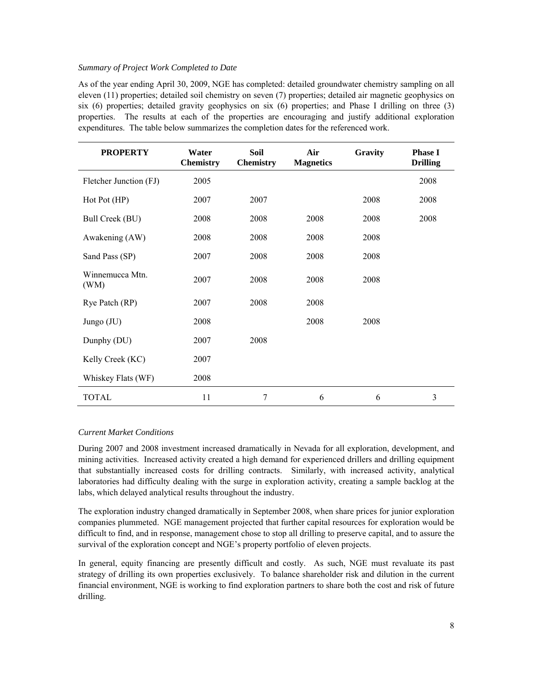# *Summary of Project Work Completed to Date*

As of the year ending April 30, 2009, NGE has completed: detailed groundwater chemistry sampling on all eleven (11) properties; detailed soil chemistry on seven (7) properties; detailed air magnetic geophysics on six (6) properties; detailed gravity geophysics on six (6) properties; and Phase I drilling on three (3) properties. The results at each of the properties are encouraging and justify additional exploration expenditures. The table below summarizes the completion dates for the referenced work.

| <b>PROPERTY</b>         | Water<br><b>Chemistry</b> | Soil<br><b>Chemistry</b> | Air<br><b>Magnetics</b> | Gravity | <b>Phase I</b><br><b>Drilling</b> |
|-------------------------|---------------------------|--------------------------|-------------------------|---------|-----------------------------------|
| Fletcher Junction (FJ)  | 2005                      |                          |                         |         | 2008                              |
| Hot Pot (HP)            | 2007                      | 2007                     |                         | 2008    | 2008                              |
| Bull Creek (BU)         | 2008                      | 2008                     | 2008                    | 2008    | 2008                              |
| Awakening (AW)          | 2008                      | 2008                     | 2008                    | 2008    |                                   |
| Sand Pass (SP)          | 2007                      | 2008                     | 2008                    | 2008    |                                   |
| Winnemucca Mtn.<br>(WM) | 2007                      | 2008                     | 2008                    | 2008    |                                   |
| Rye Patch (RP)          | 2007                      | 2008                     | 2008                    |         |                                   |
| Jungo $(JU)$            | 2008                      |                          | 2008                    | 2008    |                                   |
| Dunphy (DU)             | 2007                      | 2008                     |                         |         |                                   |
| Kelly Creek (KC)        | 2007                      |                          |                         |         |                                   |
| Whiskey Flats (WF)      | 2008                      |                          |                         |         |                                   |
| <b>TOTAL</b>            | 11                        | 7                        | 6                       | 6       | 3                                 |

# *Current Market Conditions*

During 2007 and 2008 investment increased dramatically in Nevada for all exploration, development, and mining activities. Increased activity created a high demand for experienced drillers and drilling equipment that substantially increased costs for drilling contracts. Similarly, with increased activity, analytical laboratories had difficulty dealing with the surge in exploration activity, creating a sample backlog at the labs, which delayed analytical results throughout the industry.

The exploration industry changed dramatically in September 2008, when share prices for junior exploration companies plummeted. NGE management projected that further capital resources for exploration would be difficult to find, and in response, management chose to stop all drilling to preserve capital, and to assure the survival of the exploration concept and NGE's property portfolio of eleven projects.

In general, equity financing are presently difficult and costly. As such, NGE must revaluate its past strategy of drilling its own properties exclusively. To balance shareholder risk and dilution in the current financial environment, NGE is working to find exploration partners to share both the cost and risk of future drilling.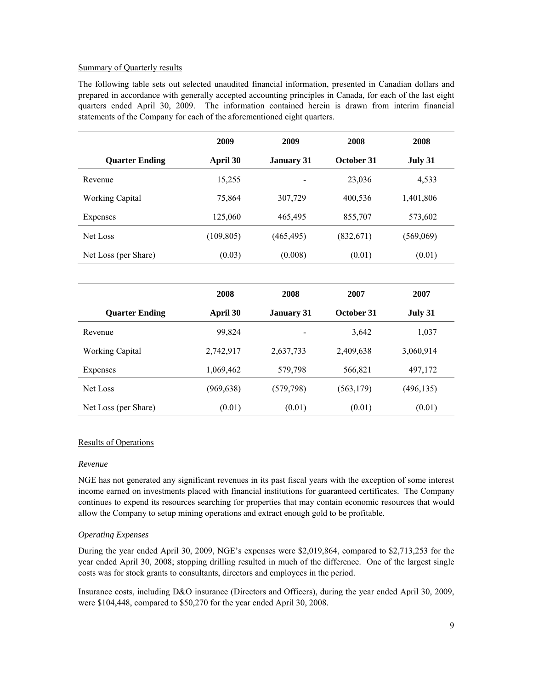### Summary of Quarterly results

The following table sets out selected unaudited financial information, presented in Canadian dollars and prepared in accordance with generally accepted accounting principles in Canada, for each of the last eight quarters ended April 30, 2009. The information contained herein is drawn from interim financial statements of the Company for each of the aforementioned eight quarters.

|                        | 2009       | 2009              | 2008       | 2008       |
|------------------------|------------|-------------------|------------|------------|
| <b>Quarter Ending</b>  | April 30   | <b>January 31</b> | October 31 | July 31    |
| Revenue                | 15,255     |                   | 23,036     | 4,533      |
| <b>Working Capital</b> | 75,864     | 307,729           | 400,536    | 1,401,806  |
| Expenses               | 125,060    | 465,495           | 855,707    | 573,602    |
| Net Loss               | (109, 805) | (465, 495)        | (832,671)  | (569,069)  |
| Net Loss (per Share)   | (0.03)     | (0.008)           | (0.01)     | (0.01)     |
|                        |            |                   |            |            |
|                        | 2008       | 2008              | 2007       | 2007       |
| <b>Quarter Ending</b>  | April 30   | <b>January 31</b> | October 31 | July 31    |
| Revenue                | 99,824     |                   | 3,642      | 1,037      |
| <b>Working Capital</b> | 2,742,917  | 2,637,733         | 2,409,638  | 3,060,914  |
| Expenses               | 1,069,462  | 579,798           | 566,821    | 497,172    |
| Net Loss               | (969, 638) | (579, 798)        | (563, 179) | (496, 135) |
| Net Loss (per Share)   | (0.01)     | (0.01)            | (0.01)     | (0.01)     |

# Results of Operations

### *Revenue*

NGE has not generated any significant revenues in its past fiscal years with the exception of some interest income earned on investments placed with financial institutions for guaranteed certificates. The Company continues to expend its resources searching for properties that may contain economic resources that would allow the Company to setup mining operations and extract enough gold to be profitable.

# *Operating Expenses*

During the year ended April 30, 2009, NGE's expenses were \$2,019,864, compared to \$2,713,253 for the year ended April 30, 2008; stopping drilling resulted in much of the difference. One of the largest single costs was for stock grants to consultants, directors and employees in the period.

Insurance costs, including D&O insurance (Directors and Officers), during the year ended April 30, 2009, were \$104,448, compared to \$50,270 for the year ended April 30, 2008.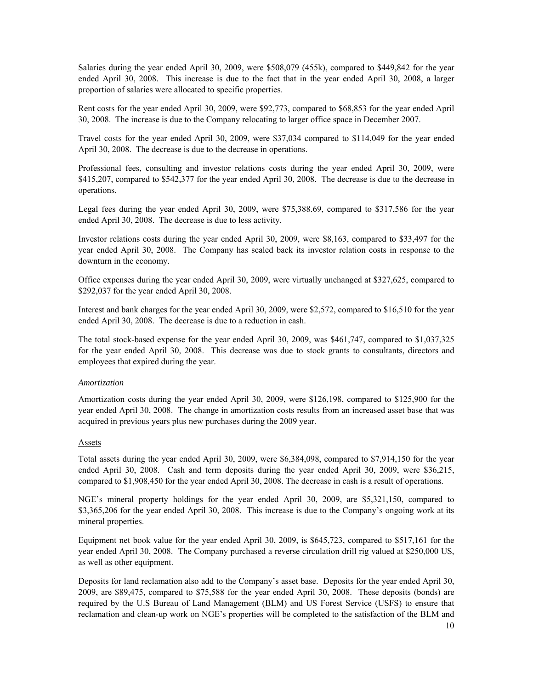Salaries during the year ended April 30, 2009, were \$508,079 (455k), compared to \$449,842 for the year ended April 30, 2008. This increase is due to the fact that in the year ended April 30, 2008, a larger proportion of salaries were allocated to specific properties.

Rent costs for the year ended April 30, 2009, were \$92,773, compared to \$68,853 for the year ended April 30, 2008. The increase is due to the Company relocating to larger office space in December 2007.

Travel costs for the year ended April 30, 2009, were \$37,034 compared to \$114,049 for the year ended April 30, 2008. The decrease is due to the decrease in operations.

Professional fees, consulting and investor relations costs during the year ended April 30, 2009, were \$415,207, compared to \$542,377 for the year ended April 30, 2008. The decrease is due to the decrease in operations.

Legal fees during the year ended April 30, 2009, were \$75,388.69, compared to \$317,586 for the year ended April 30, 2008. The decrease is due to less activity.

Investor relations costs during the year ended April 30, 2009, were \$8,163, compared to \$33,497 for the year ended April 30, 2008. The Company has scaled back its investor relation costs in response to the downturn in the economy.

Office expenses during the year ended April 30, 2009, were virtually unchanged at \$327,625, compared to \$292,037 for the year ended April 30, 2008.

Interest and bank charges for the year ended April 30, 2009, were \$2,572, compared to \$16,510 for the year ended April 30, 2008. The decrease is due to a reduction in cash.

The total stock-based expense for the year ended April 30, 2009, was \$461,747, compared to \$1,037,325 for the year ended April 30, 2008. This decrease was due to stock grants to consultants, directors and employees that expired during the year.

### *Amortization*

Amortization costs during the year ended April 30, 2009, were \$126,198, compared to \$125,900 for the year ended April 30, 2008. The change in amortization costs results from an increased asset base that was acquired in previous years plus new purchases during the 2009 year.

### Assets

Total assets during the year ended April 30, 2009, were \$6,384,098, compared to \$7,914,150 for the year ended April 30, 2008. Cash and term deposits during the year ended April 30, 2009, were \$36,215, compared to \$1,908,450 for the year ended April 30, 2008. The decrease in cash is a result of operations.

NGE's mineral property holdings for the year ended April 30, 2009, are \$5,321,150, compared to \$3,365,206 for the year ended April 30, 2008. This increase is due to the Company's ongoing work at its mineral properties.

Equipment net book value for the year ended April 30, 2009, is \$645,723, compared to \$517,161 for the year ended April 30, 2008. The Company purchased a reverse circulation drill rig valued at \$250,000 US, as well as other equipment.

Deposits for land reclamation also add to the Company's asset base. Deposits for the year ended April 30, 2009, are \$89,475, compared to \$75,588 for the year ended April 30, 2008. These deposits (bonds) are required by the U.S Bureau of Land Management (BLM) and US Forest Service (USFS) to ensure that reclamation and clean-up work on NGE's properties will be completed to the satisfaction of the BLM and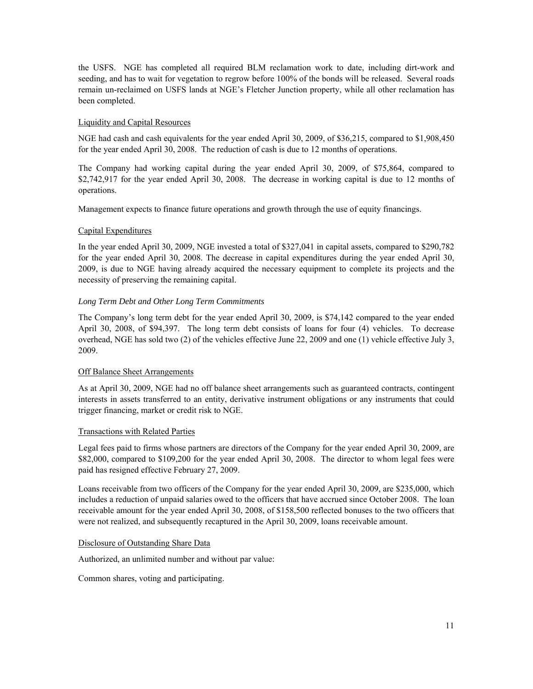the USFS. NGE has completed all required BLM reclamation work to date, including dirt-work and seeding, and has to wait for vegetation to regrow before 100% of the bonds will be released. Several roads remain un-reclaimed on USFS lands at NGE's Fletcher Junction property, while all other reclamation has been completed.

# Liquidity and Capital Resources

NGE had cash and cash equivalents for the year ended April 30, 2009, of \$36,215, compared to \$1,908,450 for the year ended April 30, 2008. The reduction of cash is due to 12 months of operations.

The Company had working capital during the year ended April 30, 2009, of \$75,864, compared to \$2,742,917 for the year ended April 30, 2008. The decrease in working capital is due to 12 months of operations.

Management expects to finance future operations and growth through the use of equity financings.

# Capital Expenditures

In the year ended April 30, 2009, NGE invested a total of \$327,041 in capital assets, compared to \$290,782 for the year ended April 30, 2008. The decrease in capital expenditures during the year ended April 30, 2009, is due to NGE having already acquired the necessary equipment to complete its projects and the necessity of preserving the remaining capital.

# *Long Term Debt and Other Long Term Commitments*

The Company's long term debt for the year ended April 30, 2009, is \$74,142 compared to the year ended April 30, 2008, of \$94,397. The long term debt consists of loans for four (4) vehicles. To decrease overhead, NGE has sold two (2) of the vehicles effective June 22, 2009 and one (1) vehicle effective July 3, 2009.

# Off Balance Sheet Arrangements

As at April 30, 2009, NGE had no off balance sheet arrangements such as guaranteed contracts, contingent interests in assets transferred to an entity, derivative instrument obligations or any instruments that could trigger financing, market or credit risk to NGE.

# Transactions with Related Parties

Legal fees paid to firms whose partners are directors of the Company for the year ended April 30, 2009, are \$82,000, compared to \$109,200 for the year ended April 30, 2008. The director to whom legal fees were paid has resigned effective February 27, 2009.

Loans receivable from two officers of the Company for the year ended April 30, 2009, are \$235,000, which includes a reduction of unpaid salaries owed to the officers that have accrued since October 2008. The loan receivable amount for the year ended April 30, 2008, of \$158,500 reflected bonuses to the two officers that were not realized, and subsequently recaptured in the April 30, 2009, loans receivable amount.

# Disclosure of Outstanding Share Data

Authorized, an unlimited number and without par value:

Common shares, voting and participating.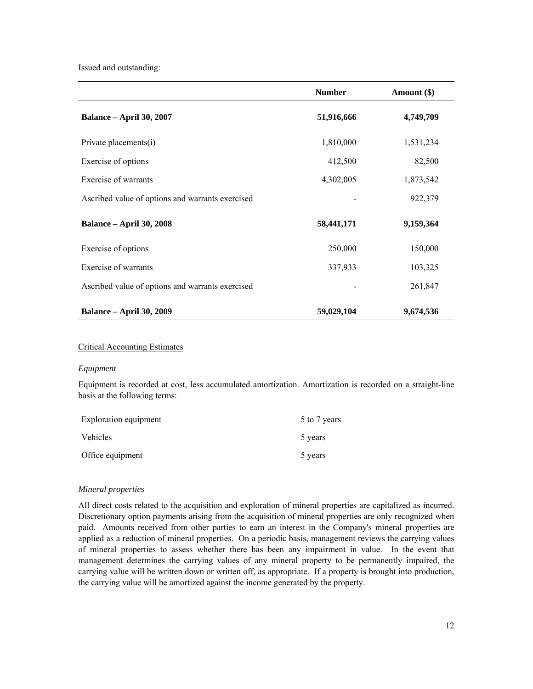Issued and outstanding:

|                                                  | <b>Number</b> | Amount (\$) |
|--------------------------------------------------|---------------|-------------|
| <b>Balance – April 30, 2007</b>                  | 51,916,666    | 4,749,709   |
| Private placements(i)                            | 1,810,000     | 1,531,234   |
| Exercise of options                              | 412,500       | 82,500      |
| Exercise of warrants                             | 4,302,005     | 1,873,542   |
| Ascribed value of options and warrants exercised |               | 922,379     |
| <b>Balance – April 30, 2008</b>                  | 58,441,171    | 9,159,364   |
| Exercise of options                              | 250,000       | 150,000     |
| Exercise of warrants                             | 337,933       | 103,325     |
| Ascribed value of options and warrants exercised |               | 261,847     |
| <b>Balance – April 30, 2009</b>                  | 59,029,104    | 9,674,536   |

# Critical Accounting Estimates

## *Equipment*

Equipment is recorded at cost, less accumulated amortization. Amortization is recorded on a straight-line basis at the following terms:

| Exploration equipment | 5 to 7 years |
|-----------------------|--------------|
| Vehicles              | 5 years      |
| Office equipment      | 5 years      |

### *Mineral properties*

All direct costs related to the acquisition and exploration of mineral properties are capitalized as incurred. Discretionary option payments arising from the acquisition of mineral properties are only recognized when paid. Amounts received from other parties to earn an interest in the Company's mineral properties are applied as a reduction of mineral properties. On a periodic basis, management reviews the carrying values of mineral properties to assess whether there has been any impairment in value. In the event that management determines the carrying values of any mineral property to be permanently impaired, the carrying value will be written down or written off, as appropriate. If a property is brought into production, the carrying value will be amortized against the income generated by the property.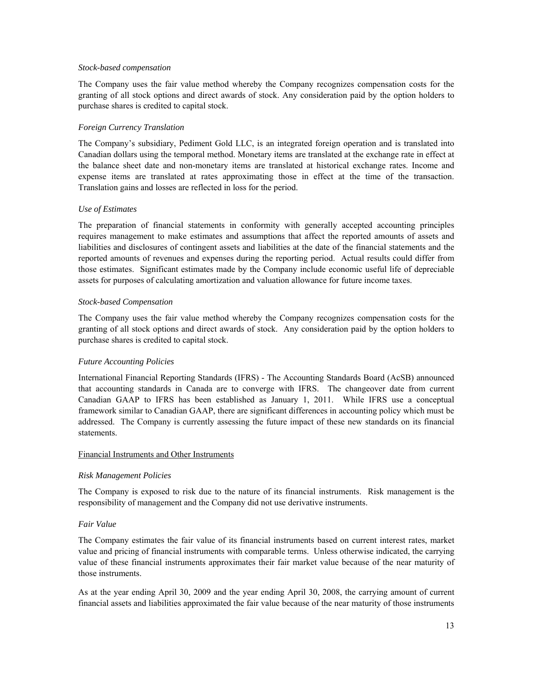### *Stock-based compensation*

The Company uses the fair value method whereby the Company recognizes compensation costs for the granting of all stock options and direct awards of stock. Any consideration paid by the option holders to purchase shares is credited to capital stock.

# *Foreign Currency Translation*

The Company's subsidiary, Pediment Gold LLC, is an integrated foreign operation and is translated into Canadian dollars using the temporal method. Monetary items are translated at the exchange rate in effect at the balance sheet date and non-monetary items are translated at historical exchange rates. Income and expense items are translated at rates approximating those in effect at the time of the transaction. Translation gains and losses are reflected in loss for the period.

### *Use of Estimates*

The preparation of financial statements in conformity with generally accepted accounting principles requires management to make estimates and assumptions that affect the reported amounts of assets and liabilities and disclosures of contingent assets and liabilities at the date of the financial statements and the reported amounts of revenues and expenses during the reporting period. Actual results could differ from those estimates. Significant estimates made by the Company include economic useful life of depreciable assets for purposes of calculating amortization and valuation allowance for future income taxes.

### *Stock-based Compensation*

The Company uses the fair value method whereby the Company recognizes compensation costs for the granting of all stock options and direct awards of stock. Any consideration paid by the option holders to purchase shares is credited to capital stock.

# *Future Accounting Policies*

International Financial Reporting Standards (IFRS) - The Accounting Standards Board (AcSB) announced that accounting standards in Canada are to converge with IFRS. The changeover date from current Canadian GAAP to IFRS has been established as January 1, 2011. While IFRS use a conceptual framework similar to Canadian GAAP, there are significant differences in accounting policy which must be addressed. The Company is currently assessing the future impact of these new standards on its financial statements.

## Financial Instruments and Other Instruments

### *Risk Management Policies*

The Company is exposed to risk due to the nature of its financial instruments. Risk management is the responsibility of management and the Company did not use derivative instruments.

# *Fair Value*

The Company estimates the fair value of its financial instruments based on current interest rates, market value and pricing of financial instruments with comparable terms. Unless otherwise indicated, the carrying value of these financial instruments approximates their fair market value because of the near maturity of those instruments.

As at the year ending April 30, 2009 and the year ending April 30, 2008, the carrying amount of current financial assets and liabilities approximated the fair value because of the near maturity of those instruments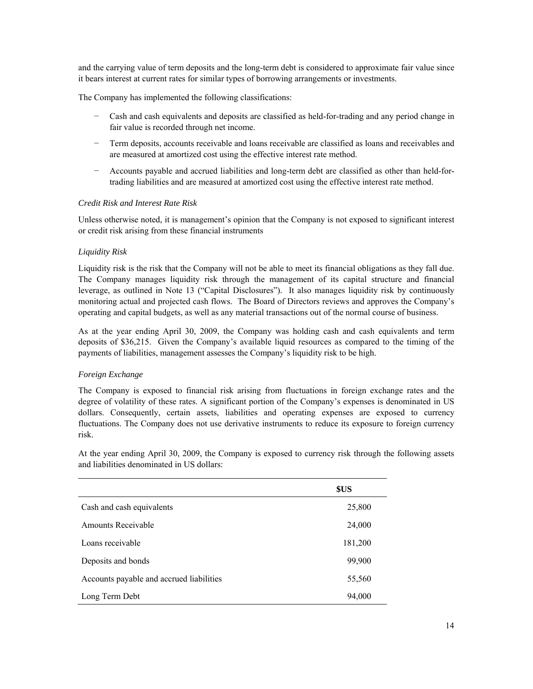and the carrying value of term deposits and the long-term debt is considered to approximate fair value since it bears interest at current rates for similar types of borrowing arrangements or investments.

The Company has implemented the following classifications:

- − Cash and cash equivalents and deposits are classified as held-for-trading and any period change in fair value is recorded through net income.
- − Term deposits, accounts receivable and loans receivable are classified as loans and receivables and are measured at amortized cost using the effective interest rate method.
- − Accounts payable and accrued liabilities and long-term debt are classified as other than held-fortrading liabilities and are measured at amortized cost using the effective interest rate method.

# *Credit Risk and Interest Rate Risk*

Unless otherwise noted, it is management's opinion that the Company is not exposed to significant interest or credit risk arising from these financial instruments

# *Liquidity Risk*

Liquidity risk is the risk that the Company will not be able to meet its financial obligations as they fall due. The Company manages liquidity risk through the management of its capital structure and financial leverage, as outlined in Note 13 ("Capital Disclosures"). It also manages liquidity risk by continuously monitoring actual and projected cash flows. The Board of Directors reviews and approves the Company's operating and capital budgets, as well as any material transactions out of the normal course of business.

As at the year ending April 30, 2009, the Company was holding cash and cash equivalents and term deposits of \$36,215. Given the Company's available liquid resources as compared to the timing of the payments of liabilities, management assesses the Company's liquidity risk to be high.

# *Foreign Exchange*

The Company is exposed to financial risk arising from fluctuations in foreign exchange rates and the degree of volatility of these rates. A significant portion of the Company's expenses is denominated in US dollars. Consequently, certain assets, liabilities and operating expenses are exposed to currency fluctuations. The Company does not use derivative instruments to reduce its exposure to foreign currency risk.

At the year ending April 30, 2009, the Company is exposed to currency risk through the following assets and liabilities denominated in US dollars:

|                                          | \$US    |
|------------------------------------------|---------|
| Cash and cash equivalents                | 25,800  |
| <b>Amounts Receivable</b>                | 24,000  |
| Loans receivable                         | 181,200 |
| Deposits and bonds                       | 99,900  |
| Accounts payable and accrued liabilities | 55,560  |
| Long Term Debt                           | 94,000  |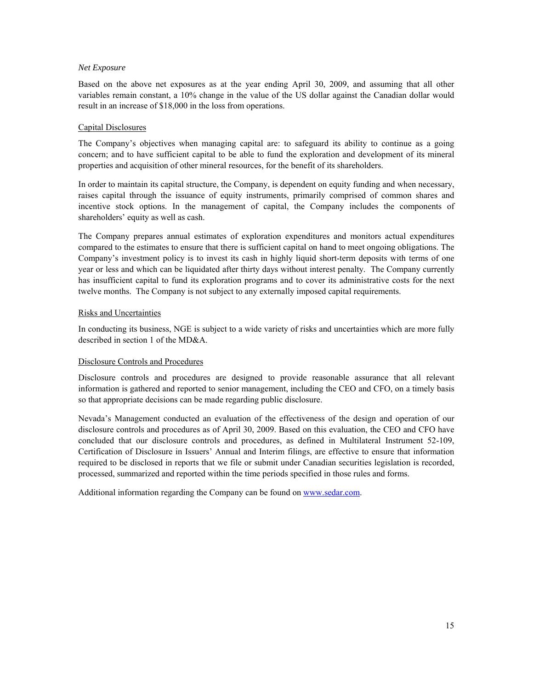## *Net Exposure*

Based on the above net exposures as at the year ending April 30, 2009, and assuming that all other variables remain constant, a 10% change in the value of the US dollar against the Canadian dollar would result in an increase of \$18,000 in the loss from operations.

## Capital Disclosures

The Company's objectives when managing capital are: to safeguard its ability to continue as a going concern; and to have sufficient capital to be able to fund the exploration and development of its mineral properties and acquisition of other mineral resources, for the benefit of its shareholders.

In order to maintain its capital structure, the Company, is dependent on equity funding and when necessary, raises capital through the issuance of equity instruments, primarily comprised of common shares and incentive stock options. In the management of capital, the Company includes the components of shareholders' equity as well as cash.

The Company prepares annual estimates of exploration expenditures and monitors actual expenditures compared to the estimates to ensure that there is sufficient capital on hand to meet ongoing obligations. The Company's investment policy is to invest its cash in highly liquid short-term deposits with terms of one year or less and which can be liquidated after thirty days without interest penalty. The Company currently has insufficient capital to fund its exploration programs and to cover its administrative costs for the next twelve months. The Company is not subject to any externally imposed capital requirements.

### Risks and Uncertainties

In conducting its business, NGE is subject to a wide variety of risks and uncertainties which are more fully described in section 1 of the MD&A.

# Disclosure Controls and Procedures

Disclosure controls and procedures are designed to provide reasonable assurance that all relevant information is gathered and reported to senior management, including the CEO and CFO, on a timely basis so that appropriate decisions can be made regarding public disclosure.

Nevada's Management conducted an evaluation of the effectiveness of the design and operation of our disclosure controls and procedures as of April 30, 2009. Based on this evaluation, the CEO and CFO have concluded that our disclosure controls and procedures, as defined in Multilateral Instrument 52-109, Certification of Disclosure in Issuers' Annual and Interim filings, are effective to ensure that information required to be disclosed in reports that we file or submit under Canadian securities legislation is recorded, processed, summarized and reported within the time periods specified in those rules and forms.

Additional information regarding the Company can be found on www.sedar.com.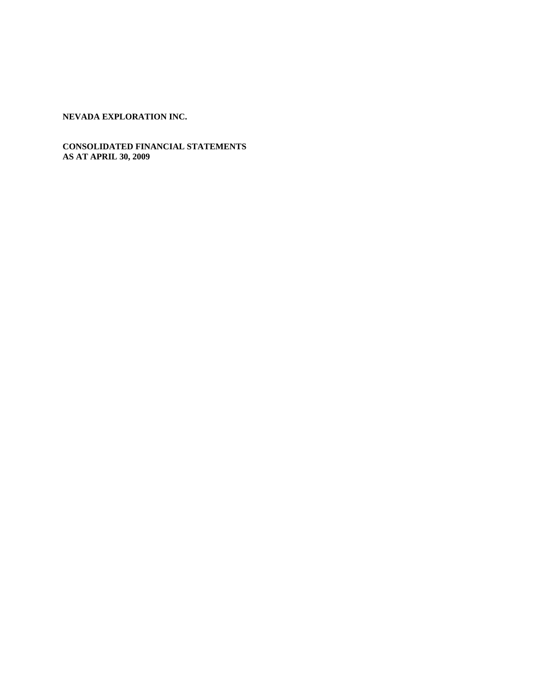# **CONSOLIDATED FINANCIAL STATEMENTS AS AT APRIL 30, 2009**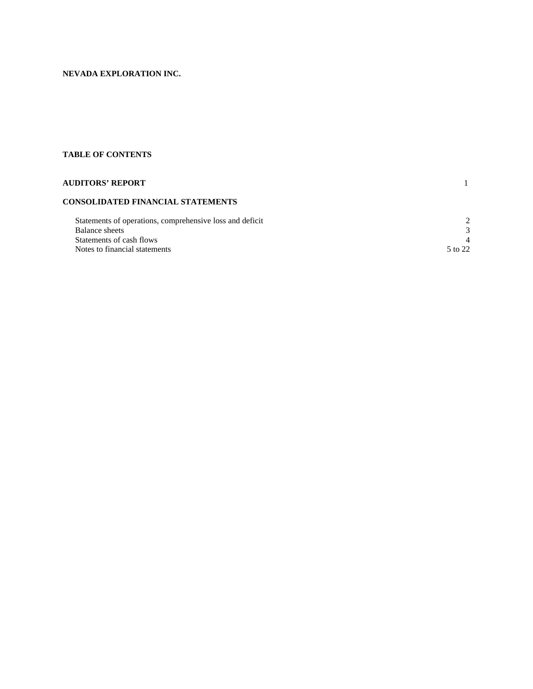# **TABLE OF CONTENTS**

| <b>AUDITORS' REPORT</b>                                  |                             |
|----------------------------------------------------------|-----------------------------|
| CONSOLIDATED FINANCIAL STATEMENTS                        |                             |
| Statements of operations, comprehensive loss and deficit | $\mathcal{D}_{\mathcal{L}}$ |
| Balance sheets                                           | 3                           |
| Statements of cash flows                                 | 4                           |
| Notes to financial statements                            | 5 to 22                     |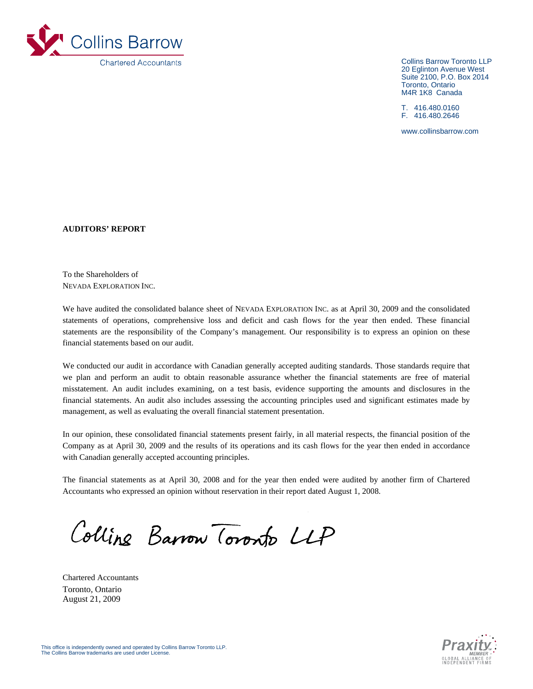

Collins Barrow Toronto LLP 20 Eglinton Avenue West Suite 2100, P.O. Box 2014 Toronto, Ontario M4R 1K8 Canada

T. 416.480.0160 F. 416.480.2646

www.collinsbarrow.com

**AUDITORS' REPORT** 

To the Shareholders of NEVADA EXPLORATION INC.

We have audited the consolidated balance sheet of NEVADA EXPLORATION INC. as at April 30, 2009 and the consolidated statements of operations, comprehensive loss and deficit and cash flows for the year then ended. These financial statements are the responsibility of the Company's management. Our responsibility is to express an opinion on these financial statements based on our audit.

We conducted our audit in accordance with Canadian generally accepted auditing standards. Those standards require that we plan and perform an audit to obtain reasonable assurance whether the financial statements are free of material misstatement. An audit includes examining, on a test basis, evidence supporting the amounts and disclosures in the financial statements. An audit also includes assessing the accounting principles used and significant estimates made by management, as well as evaluating the overall financial statement presentation.

In our opinion, these consolidated financial statements present fairly, in all material respects, the financial position of the Company as at April 30, 2009 and the results of its operations and its cash flows for the year then ended in accordance with Canadian generally accepted accounting principles.

The financial statements as at April 30, 2008 and for the year then ended were audited by another firm of Chartered Accountants who expressed an opinion without reservation in their report dated August 1, 2008.

Colline Barrow Toronto LLP



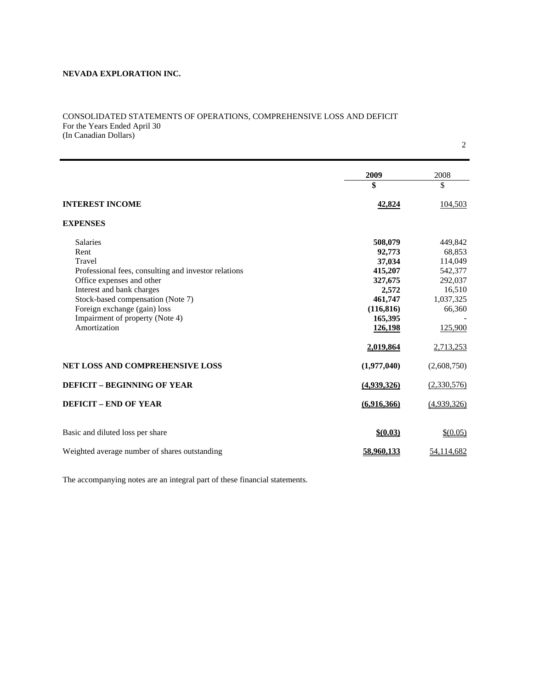## CONSOLIDATED STATEMENTS OF OPERATIONS, COMPREHENSIVE LOSS AND DEFICIT For the Years Ended April 30 (In Canadian Dollars)

2

|                                                      | 2009           | 2008        |
|------------------------------------------------------|----------------|-------------|
|                                                      | \$             | \$          |
| <b>INTEREST INCOME</b>                               | 42,824         | 104,503     |
| <b>EXPENSES</b>                                      |                |             |
| <b>Salaries</b>                                      | 508,079        | 449,842     |
| Rent                                                 | 92,773         | 68,853      |
| Travel                                               | 37,034         | 114,049     |
| Professional fees, consulting and investor relations | 415,207        | 542,377     |
| Office expenses and other                            | 327,675        | 292,037     |
| Interest and bank charges                            | 2,572          | 16,510      |
| Stock-based compensation (Note 7)                    | 461,747        | 1,037,325   |
| Foreign exchange (gain) loss                         | (116, 816)     | 66,360      |
| Impairment of property (Note 4)                      | 165,395        |             |
| Amortization                                         | <u>126,198</u> | 125,900     |
|                                                      | 2,019,864      | 2,713,253   |
| <b>NET LOSS AND COMPREHENSIVE LOSS</b>               | (1,977,040)    | (2,608,750) |
| <b>DEFICIT - BEGINNING OF YEAR</b>                   | (4,939,326)    | (2,330,576) |
| <b>DEFICIT - END OF YEAR</b>                         | (6.916.366)    | (4,939,326) |
| Basic and diluted loss per share                     | \$ (0.03)      | \$ (0.05)   |
| Weighted average number of shares outstanding        | 58.960.133     | 54,114,682  |

The accompanying notes are an integral part of these financial statements.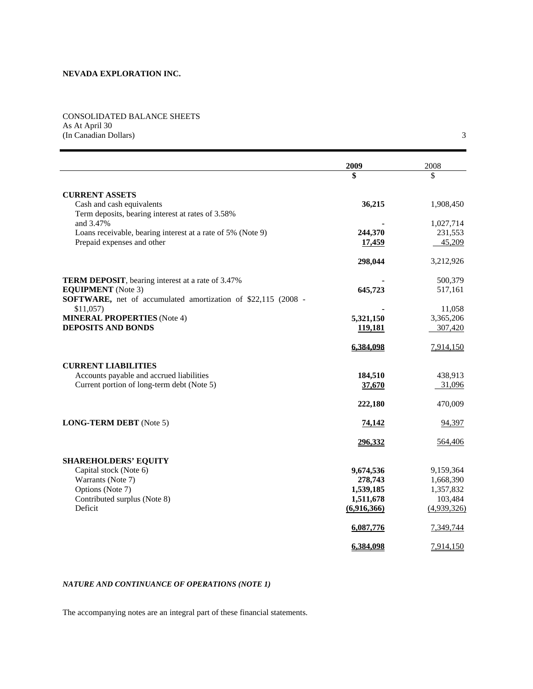CONSOLIDATED BALANCE SHEETS As At April 30 (In Canadian Dollars) 3

|                                                               | 2009        | 2008        |
|---------------------------------------------------------------|-------------|-------------|
|                                                               | \$          | \$          |
| <b>CURRENT ASSETS</b>                                         |             |             |
| Cash and cash equivalents                                     | 36,215      | 1,908,450   |
| Term deposits, bearing interest at rates of 3.58%             |             |             |
| and 3.47%                                                     |             | 1,027,714   |
| Loans receivable, bearing interest at a rate of 5% (Note 9)   | 244,370     | 231,553     |
| Prepaid expenses and other                                    | 17,459      | 45,209      |
|                                                               | 298,044     | 3,212,926   |
| <b>TERM DEPOSIT</b> , bearing interest at a rate of 3.47%     |             | 500,379     |
| <b>EQUIPMENT</b> (Note 3)                                     | 645,723     | 517,161     |
| SOFTWARE, net of accumulated amortization of \$22,115 (2008 - |             |             |
| \$11,057                                                      |             | 11,058      |
| <b>MINERAL PROPERTIES</b> (Note 4)                            | 5,321,150   | 3,365,206   |
| <b>DEPOSITS AND BONDS</b>                                     | 119,181     | 307,420     |
|                                                               | 6,384,098   | 7,914,150   |
| <b>CURRENT LIABILITIES</b>                                    |             |             |
| Accounts payable and accrued liabilities                      | 184,510     | 438,913     |
| Current portion of long-term debt (Note 5)                    | 37,670      | 31,096      |
|                                                               | 222,180     | 470,009     |
| <b>LONG-TERM DEBT</b> (Note 5)                                | 74,142      | 94,397      |
|                                                               | 296,332     | 564,406     |
| <b>SHAREHOLDERS' EQUITY</b>                                   |             |             |
| Capital stock (Note 6)                                        | 9,674,536   | 9,159,364   |
| Warrants (Note 7)                                             | 278,743     | 1,668,390   |
| Options (Note 7)                                              | 1,539,185   | 1,357,832   |
| Contributed surplus (Note 8)                                  | 1,511,678   | 103,484     |
| Deficit                                                       | (6,916,366) | (4,939,326) |
|                                                               | 6,087,776   | 7,349,744   |
|                                                               | 6,384,098   | 7,914,150   |

# *NATURE AND CONTINUANCE OF OPERATIONS (NOTE 1)*

The accompanying notes are an integral part of these financial statements.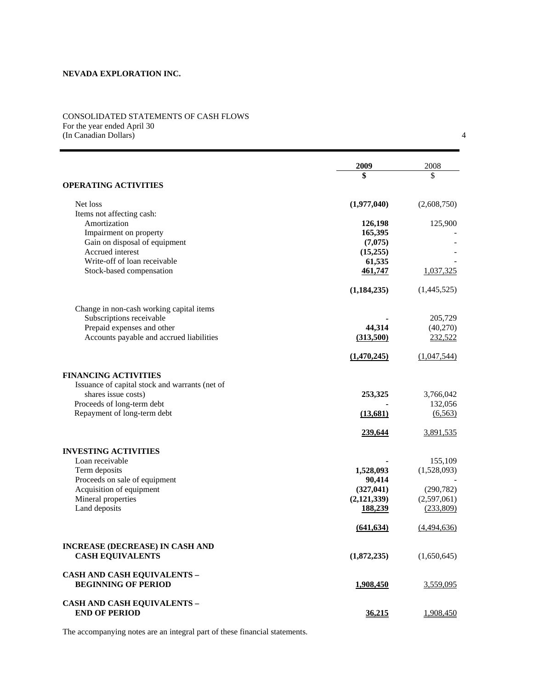### CONSOLIDATED STATEMENTS OF CASH FLOWS For the year ended April 30 (In Canadian Dollars) 4

|                                                         | 2009                | 2008        |
|---------------------------------------------------------|---------------------|-------------|
|                                                         | \$                  | \$          |
| <b>OPERATING ACTIVITIES</b>                             |                     |             |
| Net loss                                                | (1,977,040)         | (2,608,750) |
| Items not affecting cash:                               |                     |             |
| Amortization                                            | 126,198             | 125,900     |
| Impairment on property<br>Gain on disposal of equipment | 165,395             |             |
| Accrued interest                                        | (7,075)<br>(15,255) |             |
| Write-off of loan receivable                            | 61,535              |             |
| Stock-based compensation                                | 461,747             | 1,037,325   |
|                                                         |                     |             |
|                                                         | (1, 184, 235)       | (1,445,525) |
| Change in non-cash working capital items                |                     |             |
| Subscriptions receivable                                |                     | 205,729     |
| Prepaid expenses and other                              | 44,314              | (40,270)    |
| Accounts payable and accrued liabilities                | (313,500)           | 232,522     |
|                                                         | (1,470,245)         | (1,047,544) |
| <b>FINANCING ACTIVITIES</b>                             |                     |             |
| Issuance of capital stock and warrants (net of          |                     |             |
| shares issue costs)                                     | 253,325             | 3,766,042   |
| Proceeds of long-term debt                              |                     | 132,056     |
| Repayment of long-term debt                             | (13,681)            | (6, 563)    |
|                                                         | 239,644             | 3,891,535   |
| <b>INVESTING ACTIVITIES</b>                             |                     |             |
| Loan receivable                                         |                     | 155,109     |
| Term deposits                                           | 1,528,093           | (1,528,093) |
| Proceeds on sale of equipment                           | 90,414              |             |
| Acquisition of equipment                                | (327, 041)          | (290, 782)  |
| Mineral properties                                      | (2,121,339)         | (2,597,061) |
| Land deposits                                           | 188,239             | (233,809)   |
|                                                         | (641, 634)          | (4,494,636) |
| <b>INCREASE (DECREASE) IN CASH AND</b>                  |                     |             |
| <b>CASH EQUIVALENTS</b>                                 | (1,872,235)         | (1,650,645) |
| <b>CASH AND CASH EQUIVALENTS –</b>                      |                     |             |
| <b>BEGINNING OF PERIOD</b>                              | 1,908,450           | 3,559,095   |
| <b>CASH AND CASH EQUIVALENTS -</b>                      |                     |             |
| <b>END OF PERIOD</b>                                    | 36,215              | 1,908,450   |

The accompanying notes are an integral part of these financial statements.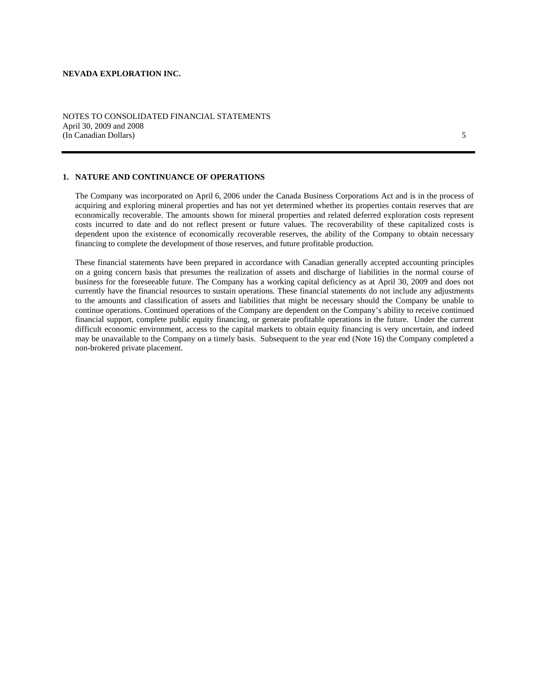### NOTES TO CONSOLIDATED FINANCIAL STATEMENTS April 30, 2009 and 2008 (In Canadian Dollars) 5

# **1. NATURE AND CONTINUANCE OF OPERATIONS**

The Company was incorporated on April 6, 2006 under the Canada Business Corporations Act and is in the process of acquiring and exploring mineral properties and has not yet determined whether its properties contain reserves that are economically recoverable. The amounts shown for mineral properties and related deferred exploration costs represent costs incurred to date and do not reflect present or future values. The recoverability of these capitalized costs is dependent upon the existence of economically recoverable reserves, the ability of the Company to obtain necessary financing to complete the development of those reserves, and future profitable production.

These financial statements have been prepared in accordance with Canadian generally accepted accounting principles on a going concern basis that presumes the realization of assets and discharge of liabilities in the normal course of business for the foreseeable future. The Company has a working capital deficiency as at April 30, 2009 and does not currently have the financial resources to sustain operations. These financial statements do not include any adjustments to the amounts and classification of assets and liabilities that might be necessary should the Company be unable to continue operations. Continued operations of the Company are dependent on the Company's ability to receive continued financial support, complete public equity financing, or generate profitable operations in the future. Under the current difficult economic environment, access to the capital markets to obtain equity financing is very uncertain, and indeed may be unavailable to the Company on a timely basis. Subsequent to the year end (Note 16) the Company completed a non-brokered private placement.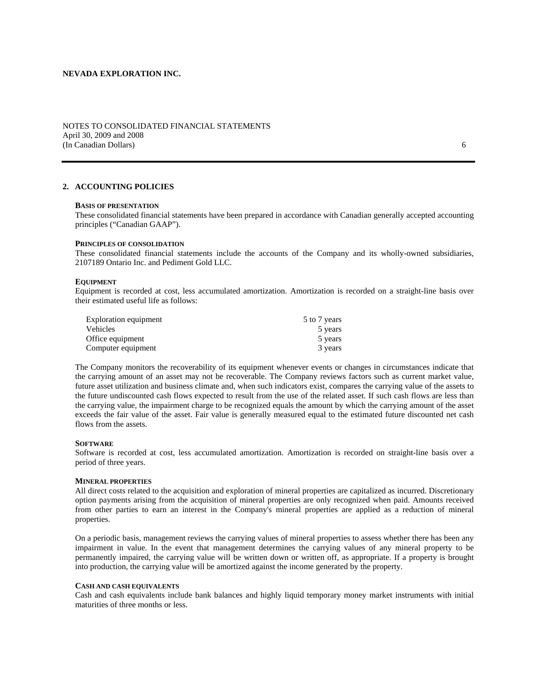### NOTES TO CONSOLIDATED FINANCIAL STATEMENTS April 30, 2009 and 2008 (In Canadian Dollars) 6

### **2. ACCOUNTING POLICIES**

#### **BASIS OF PRESENTATION**

These consolidated financial statements have been prepared in accordance with Canadian generally accepted accounting principles ("Canadian GAAP").

### **PRINCIPLES OF CONSOLIDATION**

These consolidated financial statements include the accounts of the Company and its wholly-owned subsidiaries, 2107189 Ontario Inc. and Pediment Gold LLC.

#### **EQUIPMENT**

Equipment is recorded at cost, less accumulated amortization. Amortization is recorded on a straight-line basis over their estimated useful life as follows:

| Exploration equipment | 5 to 7 years |
|-----------------------|--------------|
| <b>Vehicles</b>       | 5 years      |
| Office equipment      | 5 years      |
| Computer equipment    | 3 years      |

The Company monitors the recoverability of its equipment whenever events or changes in circumstances indicate that the carrying amount of an asset may not be recoverable. The Company reviews factors such as current market value, future asset utilization and business climate and, when such indicators exist, compares the carrying value of the assets to the future undiscounted cash flows expected to result from the use of the related asset. If such cash flows are less than the carrying value, the impairment charge to be recognized equals the amount by which the carrying amount of the asset exceeds the fair value of the asset. Fair value is generally measured equal to the estimated future discounted net cash flows from the assets.

#### **SOFTWARE**

Software is recorded at cost, less accumulated amortization. Amortization is recorded on straight-line basis over a period of three years.

#### **MINERAL PROPERTIES**

All direct costs related to the acquisition and exploration of mineral properties are capitalized as incurred. Discretionary option payments arising from the acquisition of mineral properties are only recognized when paid. Amounts received from other parties to earn an interest in the Company's mineral properties are applied as a reduction of mineral properties.

On a periodic basis, management reviews the carrying values of mineral properties to assess whether there has been any impairment in value. In the event that management determines the carrying values of any mineral property to be permanently impaired, the carrying value will be written down or written off, as appropriate. If a property is brought into production, the carrying value will be amortized against the income generated by the property.

#### **CASH AND CASH EQUIVALENTS**

Cash and cash equivalents include bank balances and highly liquid temporary money market instruments with initial maturities of three months or less.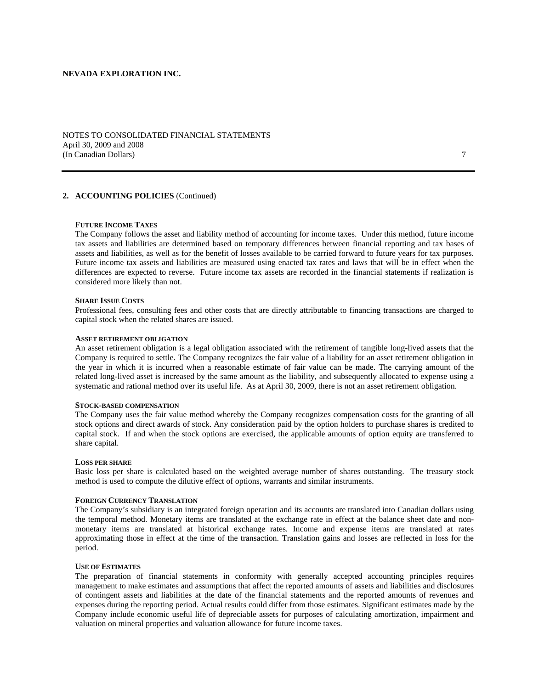NOTES TO CONSOLIDATED FINANCIAL STATEMENTS April 30, 2009 and 2008 (In Canadian Dollars) 7

# **2. ACCOUNTING POLICIES** (Continued)

### **FUTURE INCOME TAXES**

The Company follows the asset and liability method of accounting for income taxes. Under this method, future income tax assets and liabilities are determined based on temporary differences between financial reporting and tax bases of assets and liabilities, as well as for the benefit of losses available to be carried forward to future years for tax purposes. Future income tax assets and liabilities are measured using enacted tax rates and laws that will be in effect when the differences are expected to reverse. Future income tax assets are recorded in the financial statements if realization is considered more likely than not.

#### **SHARE ISSUE COSTS**

Professional fees, consulting fees and other costs that are directly attributable to financing transactions are charged to capital stock when the related shares are issued.

#### **ASSET RETIREMENT OBLIGATION**

An asset retirement obligation is a legal obligation associated with the retirement of tangible long-lived assets that the Company is required to settle. The Company recognizes the fair value of a liability for an asset retirement obligation in the year in which it is incurred when a reasonable estimate of fair value can be made. The carrying amount of the related long-lived asset is increased by the same amount as the liability, and subsequently allocated to expense using a systematic and rational method over its useful life. As at April 30, 2009, there is not an asset retirement obligation.

#### **STOCK-BASED COMPENSATION**

The Company uses the fair value method whereby the Company recognizes compensation costs for the granting of all stock options and direct awards of stock. Any consideration paid by the option holders to purchase shares is credited to capital stock. If and when the stock options are exercised, the applicable amounts of option equity are transferred to share capital.

#### **LOSS PER SHARE**

Basic loss per share is calculated based on the weighted average number of shares outstanding. The treasury stock method is used to compute the dilutive effect of options, warrants and similar instruments.

#### **FOREIGN CURRENCY TRANSLATION**

The Company's subsidiary is an integrated foreign operation and its accounts are translated into Canadian dollars using the temporal method. Monetary items are translated at the exchange rate in effect at the balance sheet date and nonmonetary items are translated at historical exchange rates. Income and expense items are translated at rates approximating those in effect at the time of the transaction. Translation gains and losses are reflected in loss for the period.

#### **USE OF ESTIMATES**

The preparation of financial statements in conformity with generally accepted accounting principles requires management to make estimates and assumptions that affect the reported amounts of assets and liabilities and disclosures of contingent assets and liabilities at the date of the financial statements and the reported amounts of revenues and expenses during the reporting period. Actual results could differ from those estimates. Significant estimates made by the Company include economic useful life of depreciable assets for purposes of calculating amortization, impairment and valuation on mineral properties and valuation allowance for future income taxes.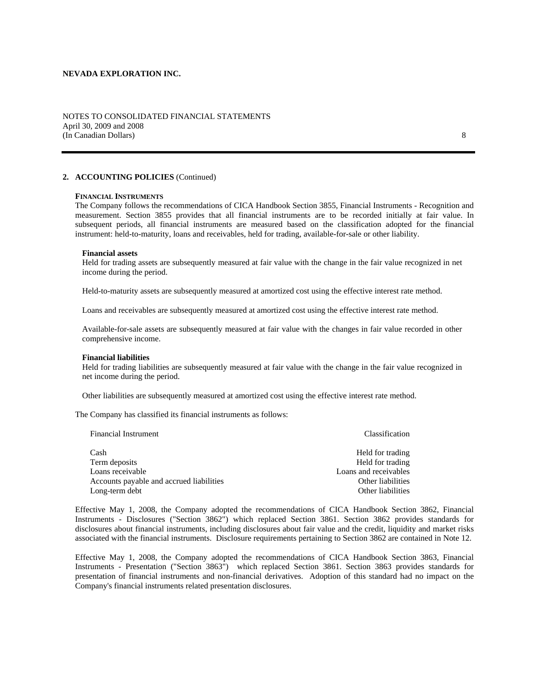### NOTES TO CONSOLIDATED FINANCIAL STATEMENTS April 30, 2009 and 2008 (In Canadian Dollars) 8

# **2. ACCOUNTING POLICIES** (Continued)

### **FINANCIAL INSTRUMENTS**

The Company follows the recommendations of CICA Handbook Section 3855, Financial Instruments - Recognition and measurement. Section 3855 provides that all financial instruments are to be recorded initially at fair value. In subsequent periods, all financial instruments are measured based on the classification adopted for the financial instrument: held-to-maturity, loans and receivables, held for trading, available-for-sale or other liability.

#### **Financial assets**

Held for trading assets are subsequently measured at fair value with the change in the fair value recognized in net income during the period.

Held-to-maturity assets are subsequently measured at amortized cost using the effective interest rate method.

Loans and receivables are subsequently measured at amortized cost using the effective interest rate method.

Available-for-sale assets are subsequently measured at fair value with the changes in fair value recorded in other comprehensive income.

#### **Financial liabilities**

Held for trading liabilities are subsequently measured at fair value with the change in the fair value recognized in net income during the period.

Other liabilities are subsequently measured at amortized cost using the effective interest rate method.

The Company has classified its financial instruments as follows:

| Financial Instrument                     | Classification        |
|------------------------------------------|-----------------------|
| Cash                                     | Held for trading      |
| Term deposits                            | Held for trading      |
| Loans receivable                         | Loans and receivables |
| Accounts payable and accrued liabilities | Other liabilities     |
| Long-term debt                           | Other liabilities     |

Effective May 1, 2008, the Company adopted the recommendations of CICA Handbook Section 3862, Financial Instruments - Disclosures ("Section 3862") which replaced Section 3861. Section 3862 provides standards for disclosures about financial instruments, including disclosures about fair value and the credit, liquidity and market risks associated with the financial instruments. Disclosure requirements pertaining to Section 3862 are contained in Note 12.

Effective May 1, 2008, the Company adopted the recommendations of CICA Handbook Section 3863, Financial Instruments - Presentation ("Section 3863") which replaced Section 3861. Section 3863 provides standards for presentation of financial instruments and non-financial derivatives. Adoption of this standard had no impact on the Company's financial instruments related presentation disclosures.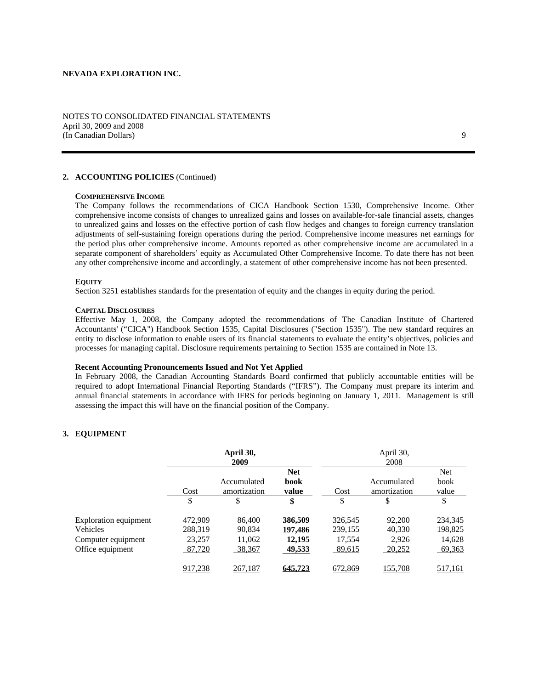### NOTES TO CONSOLIDATED FINANCIAL STATEMENTS April 30, 2009 and 2008 (In Canadian Dollars) 9

# **2. ACCOUNTING POLICIES** (Continued)

### **COMPREHENSIVE INCOME**

The Company follows the recommendations of CICA Handbook Section 1530, Comprehensive Income. Other comprehensive income consists of changes to unrealized gains and losses on available-for-sale financial assets, changes to unrealized gains and losses on the effective portion of cash flow hedges and changes to foreign currency translation adjustments of self-sustaining foreign operations during the period. Comprehensive income measures net earnings for the period plus other comprehensive income. Amounts reported as other comprehensive income are accumulated in a separate component of shareholders' equity as Accumulated Other Comprehensive Income. To date there has not been any other comprehensive income and accordingly, a statement of other comprehensive income has not been presented.

#### **EQUITY**

Section 3251 establishes standards for the presentation of equity and the changes in equity during the period.

### **CAPITAL DISCLOSURES**

 Effective May 1, 2008, the Company adopted the recommendations of The Canadian Institute of Chartered Accountants' ("CICA") Handbook Section 1535, Capital Disclosures ("Section 1535"). The new standard requires an entity to disclose information to enable users of its financial statements to evaluate the entity's objectives, policies and processes for managing capital. Disclosure requirements pertaining to Section 1535 are contained in Note 13.

#### **Recent Accounting Pronouncements Issued and Not Yet Applied**

In February 2008, the Canadian Accounting Standards Board confirmed that publicly accountable entities will be required to adopt International Financial Reporting Standards ("IFRS"). The Company must prepare its interim and annual financial statements in accordance with IFRS for periods beginning on January 1, 2011. Management is still assessing the impact this will have on the financial position of the Company.

#### **3. EQUIPMENT**

|                       |         | April 30,<br>2009           |                             |         | April 30,<br>2008           |                             |
|-----------------------|---------|-----------------------------|-----------------------------|---------|-----------------------------|-----------------------------|
|                       | Cost    | Accumulated<br>amortization | <b>Net</b><br>book<br>value | Cost    | Accumulated<br>amortization | <b>Net</b><br>book<br>value |
|                       | \$      | \$                          | \$                          | \$      | \$                          | \$                          |
| Exploration equipment | 472,909 | 86,400                      | 386,509                     | 326,545 | 92,200                      | 234,345                     |
| Vehicles              | 288,319 | 90.834                      | 197,486                     | 239,155 | 40,330                      | 198,825                     |
| Computer equipment    | 23,257  | 11,062                      | 12.195                      | 17.554  | 2.926                       | 14,628                      |
| Office equipment      | 87,720  | 38,367                      | 49,533                      | 89,615  | 20,252                      | 69,363                      |
|                       | 917,238 | 267,187                     | 645,723                     | 672,869 | 155,708                     | 517,161                     |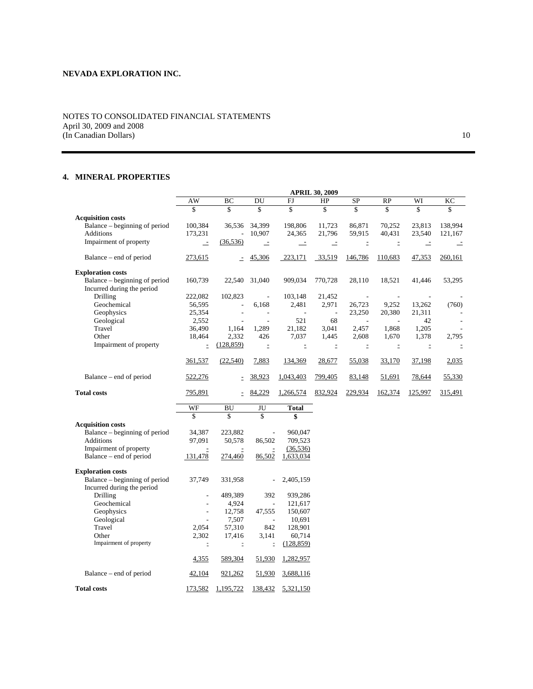# NOTES TO CONSOLIDATED FINANCIAL STATEMENTS April 30, 2009 and 2008 (In Canadian Dollars) 10

# **4. MINERAL PROPERTIES**

|                                            |                          |                          |                          |                    | <b>APRIL 30, 2009</b> |                          |           |          |                          |
|--------------------------------------------|--------------------------|--------------------------|--------------------------|--------------------|-----------------------|--------------------------|-----------|----------|--------------------------|
|                                            | AW                       | ВC                       | DU                       | FJ                 | HP                    | SP                       | <b>RP</b> | WI       | KC                       |
|                                            | \$                       | \$                       | \$                       | \$                 | \$                    | \$                       | \$        | \$       | \$                       |
| <b>Acquisition costs</b>                   |                          |                          |                          |                    |                       |                          |           |          |                          |
| Balance – beginning of period<br>Additions | 100,384                  | 36,536<br>$\overline{a}$ | 34,399<br>10,907         | 198,806            | 11,723                | 86,871                   | 70,252    | 23,813   | 138,994                  |
|                                            | 173,231                  |                          |                          | 24,365             | 21,796                | 59,915                   | 40,431    | 23,540   | 121,167                  |
| Impairment of property                     | $\equiv$                 | (36, 536)                | $\equiv$                 | $\equiv$           | $\equiv$              | $\equiv$                 | $\equiv$  | $\equiv$ | $\equiv$                 |
| Balance – end of period                    | 273,615                  |                          | 45,306                   | 223,171            | 33,519                | 146,786                  | 110,683   | 47,353   | 260,161                  |
| <b>Exploration costs</b>                   |                          |                          |                          |                    |                       |                          |           |          |                          |
| Balance – beginning of period              | 160,739                  | 22,540                   | 31,040                   | 909,034            | 770,728               | 28,110                   | 18,521    | 41,446   | 53,295                   |
| Incurred during the period                 |                          |                          |                          |                    |                       |                          |           |          |                          |
| Drilling                                   | 222,082                  | 102,823                  | $\overline{\phantom{a}}$ | 103,148            | 21,452                | $\overline{\phantom{a}}$ | ÷.        | ÷        |                          |
| Geochemical                                | 56,595                   | $\overline{a}$           | 6,168                    | 2,481              | 2,971                 | 26,723                   | 9,252     | 13,262   | (760)                    |
| Geophysics                                 | 25,354                   | $\overline{a}$           | ÷                        | $\overline{a}$     | $\sim$                | 23,250                   | 20,380    | 21,311   |                          |
| Geological                                 | 2,552                    | ÷,                       | $\overline{\phantom{a}}$ | 521                | 68                    | $\sim$                   |           | 42       | $\overline{\phantom{a}}$ |
| Travel                                     | 36,490                   | 1,164                    | 1,289                    | 21,182             | 3,041                 | 2,457                    | 1,868     | 1,205    |                          |
| Other                                      | 18,464                   | 2,332                    | 426                      | 7,037              | 1,445                 | 2,608                    | 1,670     | 1,378    | 2,795                    |
| Impairment of property                     | $\bar{z}$                | (128, 859)               | $\bar{z}$                | $\equiv$           | $\equiv$              | $\equiv$                 | $\equiv$  | $\equiv$ |                          |
|                                            | 361,537                  | (22, 540)                | 7,883                    | 134,369            | 28,677                | 55,038                   | 33,170    | 37,198   | 2,035                    |
| Balance – end of period                    | 522,276                  | È.                       | 38,923                   | 1,043,403          | 799,405               | 83,148                   | 51,691    | 78,644   | 55,330                   |
| <b>Total costs</b>                         | 795,891                  | $\overline{\phantom{a}}$ | 84,229                   | 1,266,574          | 832,924               | 229,934                  | 162,374   | 125,997  | 315,491                  |
|                                            | WF                       | <b>BU</b>                |                          |                    |                       |                          |           |          |                          |
|                                            | \$                       | \$                       | JU<br>\$                 | <b>Total</b><br>\$ |                       |                          |           |          |                          |
| <b>Acquisition costs</b>                   |                          |                          |                          |                    |                       |                          |           |          |                          |
| Balance – beginning of period              | 34,387                   | 223,882                  |                          | 960,047            |                       |                          |           |          |                          |
| Additions                                  | 97,091                   | 50,578                   | 86,502                   | 709,523            |                       |                          |           |          |                          |
| Impairment of property                     |                          |                          |                          | (36, 536)          |                       |                          |           |          |                          |
| Balance - end of period                    | 131,478                  | 274,460                  | 86,502                   | 1,633,034          |                       |                          |           |          |                          |
|                                            |                          |                          |                          |                    |                       |                          |           |          |                          |
| <b>Exploration costs</b>                   |                          |                          |                          |                    |                       |                          |           |          |                          |
| Balance – beginning of period              | 37,749                   | 331,958                  |                          | 2,405,159          |                       |                          |           |          |                          |
| Incurred during the period                 |                          |                          |                          |                    |                       |                          |           |          |                          |
| Drilling                                   | $\overline{a}$           | 489,389                  | 392                      | 939,286            |                       |                          |           |          |                          |
| Geochemical                                | $\overline{a}$           | 4,924                    | $\overline{\phantom{a}}$ | 121,617            |                       |                          |           |          |                          |
| Geophysics                                 | $\overline{\phantom{a}}$ | 12,758                   | 47,555                   | 150,607            |                       |                          |           |          |                          |
| Geological                                 |                          | 7,507                    | $\sim$                   | 10,691             |                       |                          |           |          |                          |
| Travel                                     | 2,054                    | 57,310                   | 842                      | 128,901            |                       |                          |           |          |                          |
| Other                                      | 2,302                    | 17,416                   | 3,141                    | 60,714             |                       |                          |           |          |                          |
| Impairment of property                     | Ξ                        | $\bar{z}$                | $\mathbb{E}$             | (128, 859)         |                       |                          |           |          |                          |
|                                            | <u>4,355</u>             | 589,304                  | 51,930                   | 1,282,957          |                       |                          |           |          |                          |
| Balance – end of period                    | 42,104                   | 921,262                  | 51,930                   | 3,688,116          |                       |                          |           |          |                          |
| <b>Total costs</b>                         | 173,582                  | 1,195,722                | 138,432                  | 5,321,150          |                       |                          |           |          |                          |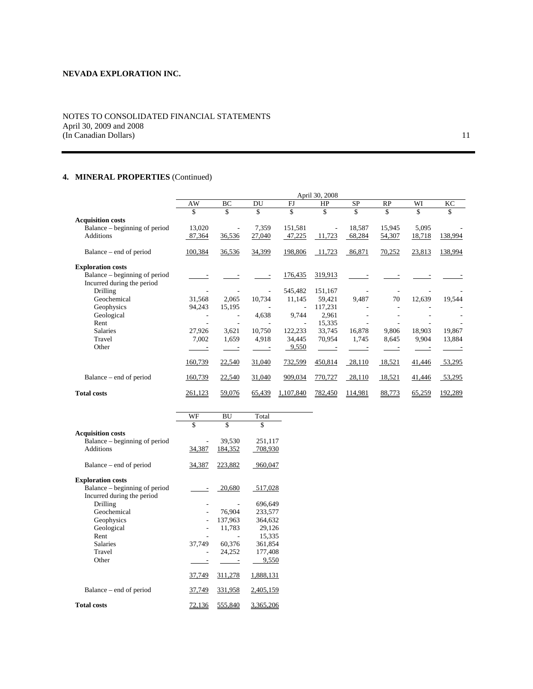# NOTES TO CONSOLIDATED FINANCIAL STATEMENTS April 30, 2009 and 2008 (In Canadian Dollars) 11

# **4. MINERAL PROPERTIES** (Continued)

|                               |                |        |        |           | April 30, 2008 |           |        |        |         |
|-------------------------------|----------------|--------|--------|-----------|----------------|-----------|--------|--------|---------|
|                               | AW             | BC     | DU     | FJ        | HP             | <b>SP</b> | RP     | WI     | KC      |
|                               | \$             | \$     | \$     | \$        | \$             | \$        | \$     | \$     | \$      |
| <b>Acquisition costs</b>      |                |        |        |           |                |           |        |        |         |
| Balance – beginning of period | 13,020         |        | 7,359  | 151,581   |                | 18,587    | 15,945 | 5,095  |         |
| <b>Additions</b>              | 87,364         | 36,536 | 27,040 | 47,225    | 11,723         | 68,284    | 54,307 | 18,718 | 138,994 |
| Balance – end of period       | 100,384        | 36,536 | 34,399 | 198,806   | 11,723         | 86,871    | 70,252 | 23,813 | 138,994 |
| <b>Exploration costs</b>      |                |        |        |           |                |           |        |        |         |
| Balance – beginning of period |                |        |        | 176,435   | 319,913        |           |        |        |         |
| Incurred during the period    |                |        |        |           |                |           |        |        |         |
| <b>Drilling</b>               |                |        |        | 545,482   | 151,167        |           |        |        |         |
| Geochemical                   | 31,568         | 2,065  | 10,734 | 11,145    | 59,421         | 9,487     | 70     | 12,639 | 19,544  |
| Geophysics                    | 94,243         | 15,195 |        |           | 117,231        |           |        |        |         |
| Geological                    |                |        | 4,638  | 9,744     | 2,961          |           |        |        |         |
| Rent                          |                |        |        |           | 15,335         |           |        |        |         |
| Salaries                      | 27,926         | 3,621  | 10,750 | 122,233   | 33,745         | 16,878    | 9,806  | 18,903 | 19,867  |
| Travel                        | 7,002          | 1,659  | 4,918  | 34,445    | 70,954         | 1,745     | 8,645  | 9,904  | 13,884  |
| Other                         |                |        |        | 9,550     |                |           |        |        |         |
|                               | 160,739        | 22,540 | 31,040 | 732,599   | 450,814        | 28,110    | 18,521 | 41,446 | 53,295  |
| Balance – end of period       | 160,739        | 22,540 | 31,040 | 909,034   | 770,727        | 28,110    | 18,521 | 41,446 | 53,295  |
| <b>Total costs</b>            | <u>261,123</u> | 59,076 | 65,439 | 1,107,840 | 782,450        | 114,981   | 88,773 | 65,259 | 192,289 |

|                               | WF     | BU             | Total            |
|-------------------------------|--------|----------------|------------------|
|                               | \$     | \$             | \$               |
| <b>Acquisition costs</b>      |        |                |                  |
| Balance – beginning of period |        | 39,530         | 251,117          |
| <b>Additions</b>              | 34,387 | 184,352        | 708,930          |
| Balance – end of period       | 34,387 | 223,882        | 960,047          |
| <b>Exploration costs</b>      |        |                |                  |
| Balance – beginning of period |        | 20,680         | 517,028          |
| Incurred during the period    |        |                |                  |
| Drilling                      |        |                | 696,649          |
| Geochemical                   |        | 76,904         | 233,577          |
| Geophysics                    |        | 137,963        | 364,632          |
| Geological                    |        | 11,783         | 29,126           |
| Rent                          |        |                | 15,335           |
| <b>Salaries</b>               | 37,749 | 60,376         | 361,854          |
| Travel                        |        | 24,252         | 177,408          |
| Other                         |        |                | 9,550            |
|                               | 37,749 | 311,278        | 1,888,131        |
| Balance – end of period       | 37,749 | 331,958        | 2,405,159        |
| <b>Total costs</b>            | 72.136 | <u>555,840</u> | <u>3,365,206</u> |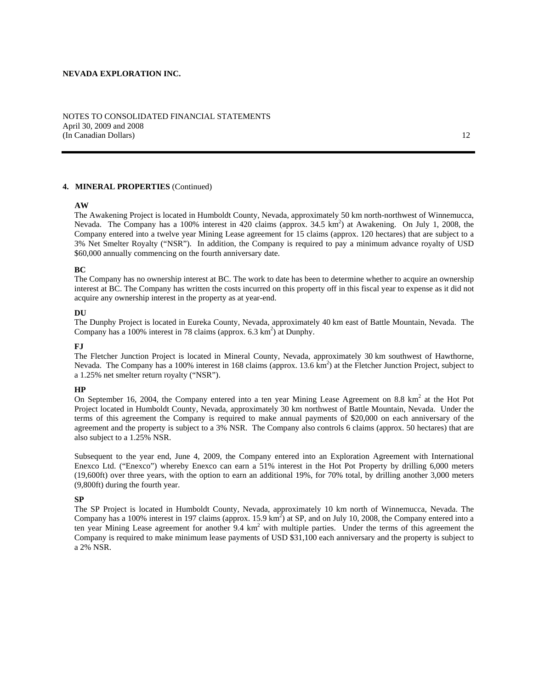### NOTES TO CONSOLIDATED FINANCIAL STATEMENTS April 30, 2009 and 2008 (In Canadian Dollars) 12

### **4. MINERAL PROPERTIES** (Continued)

### **AW**

The Awakening Project is located in Humboldt County, Nevada, approximately 50 km north-northwest of Winnemucca, Nevada. The Company has a 100% interest in 420 claims (approx. 34.5 km<sup>2</sup>) at Awakening. On July 1, 2008, the Company entered into a twelve year Mining Lease agreement for 15 claims (approx. 120 hectares) that are subject to a 3% Net Smelter Royalty ("NSR"). In addition, the Company is required to pay a minimum advance royalty of USD \$60,000 annually commencing on the fourth anniversary date.

### **BC**

The Company has no ownership interest at BC. The work to date has been to determine whether to acquire an ownership interest at BC. The Company has written the costs incurred on this property off in this fiscal year to expense as it did not acquire any ownership interest in the property as at year-end.

#### **DU**

The Dunphy Project is located in Eureka County, Nevada, approximately 40 km east of Battle Mountain, Nevada. The Company has a 100% interest in 78 claims (approx.  $6.3 \text{ km}^2$ ) at Dunphy.

#### **FJ**

The Fletcher Junction Project is located in Mineral County, Nevada, approximately 30 km southwest of Hawthorne, Nevada. The Company has a 100% interest in 168 claims (approx.  $13.6 \text{ km}^2$ ) at the Fletcher Junction Project, subject to a 1.25% net smelter return royalty ("NSR").

#### **HP**

On September 16, 2004, the Company entered into a ten year Mining Lease Agreement on 8.8  $km^2$  at the Hot Pot Project located in Humboldt County, Nevada, approximately 30 km northwest of Battle Mountain, Nevada. Under the terms of this agreement the Company is required to make annual payments of \$20,000 on each anniversary of the agreement and the property is subject to a 3% NSR. The Company also controls 6 claims (approx. 50 hectares) that are also subject to a 1.25% NSR.

Subsequent to the year end, June 4, 2009, the Company entered into an Exploration Agreement with International Enexco Ltd. ("Enexco") whereby Enexco can earn a 51% interest in the Hot Pot Property by drilling 6,000 meters (19,600ft) over three years, with the option to earn an additional 19%, for 70% total, by drilling another 3,000 meters (9,800ft) during the fourth year.

### **SP**

The SP Project is located in Humboldt County, Nevada, approximately 10 km north of Winnemucca, Nevada. The Company has a 100% interest in 197 claims (approx.  $15.9 \text{ km}^2$ ) at SP, and on July 10, 2008, the Company entered into a ten year Mining Lease agreement for another 9.4 km<sup>2</sup> with multiple parties. Under the terms of this agreement the Company is required to make minimum lease payments of USD \$31,100 each anniversary and the property is subject to a 2% NSR.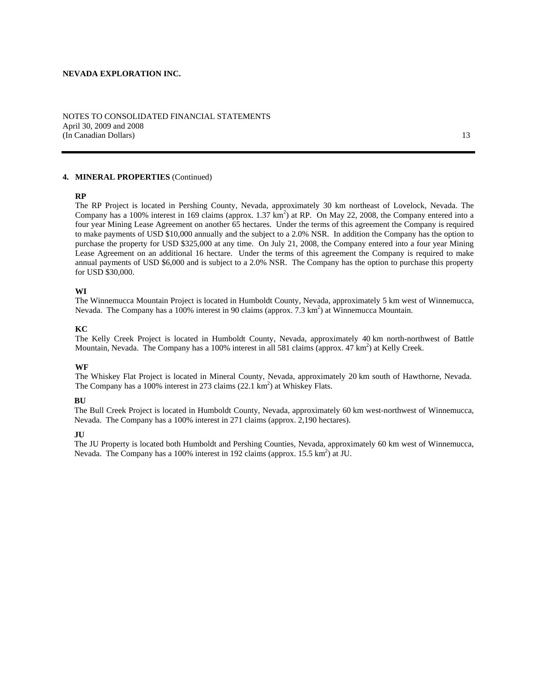### NOTES TO CONSOLIDATED FINANCIAL STATEMENTS April 30, 2009 and 2008 (In Canadian Dollars) 13

# **4. MINERAL PROPERTIES** (Continued)

### **RP**

The RP Project is located in Pershing County, Nevada, approximately 30 km northeast of Lovelock, Nevada. The Company has a 100% interest in 169 claims (approx.  $1.37 \text{ km}^2$ ) at RP. On May 22, 2008, the Company entered into a four year Mining Lease Agreement on another 65 hectares. Under the terms of this agreement the Company is required to make payments of USD \$10,000 annually and the subject to a 2.0% NSR. In addition the Company has the option to purchase the property for USD \$325,000 at any time. On July 21, 2008, the Company entered into a four year Mining Lease Agreement on an additional 16 hectare. Under the terms of this agreement the Company is required to make annual payments of USD \$6,000 and is subject to a 2.0% NSR. The Company has the option to purchase this property for USD \$30,000.

### **WI**

The Winnemucca Mountain Project is located in Humboldt County, Nevada, approximately 5 km west of Winnemucca, Nevada. The Company has a 100% interest in 90 claims (approx.  $7.3 \text{ km}^2$ ) at Winnemucca Mountain.

### **KC**

The Kelly Creek Project is located in Humboldt County, Nevada, approximately 40 km north-northwest of Battle Mountain, Nevada. The Company has a 100% interest in all 581 claims (approx. 47 km<sup>2</sup>) at Kelly Creek.

#### **WF**

The Whiskey Flat Project is located in Mineral County, Nevada, approximately 20 km south of Hawthorne, Nevada. The Company has a 100% interest in 273 claims  $(22.1 \text{ km}^2)$  at Whiskey Flats.

### **BU**

The Bull Creek Project is located in Humboldt County, Nevada, approximately 60 km west-northwest of Winnemucca, Nevada. The Company has a 100% interest in 271 claims (approx. 2,190 hectares).

#### **JU**

The JU Property is located both Humboldt and Pershing Counties, Nevada, approximately 60 km west of Winnemucca, Nevada. The Company has a 100% interest in 192 claims (approx.  $15.5 \text{ km}^2$ ) at JU.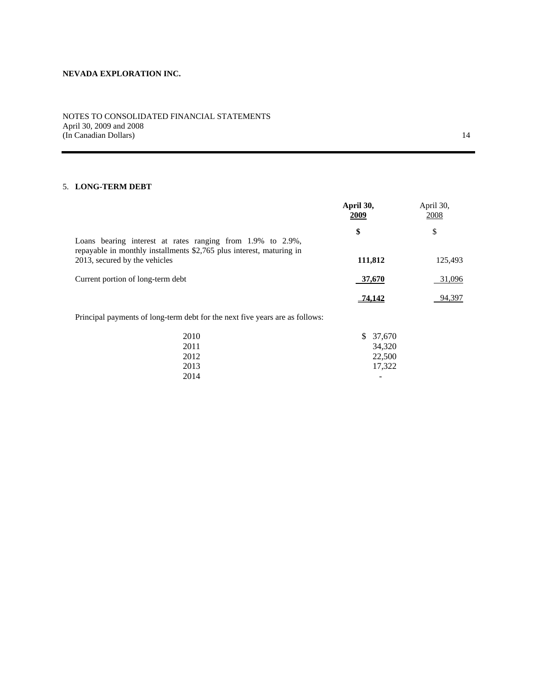# NOTES TO CONSOLIDATED FINANCIAL STATEMENTS April 30, 2009 and 2008 (In Canadian Dollars) 14

# 5. **LONG-TERM DEBT**

|                                                                                                                                    | April 30,<br>2009 | April 30,<br>2008 |
|------------------------------------------------------------------------------------------------------------------------------------|-------------------|-------------------|
| Loans bearing interest at rates ranging from 1.9% to 2.9%,<br>repayable in monthly installments \$2,765 plus interest, maturing in | \$                | \$                |
| 2013, secured by the vehicles                                                                                                      | 111,812           | 125,493           |
| Current portion of long-term debt                                                                                                  | 37,670            | 31,096            |
|                                                                                                                                    | <u>74,142</u>     | 94,397            |
| Principal payments of long-term debt for the next five years are as follows:                                                       |                   |                   |

| 2010 | \$ 37,670 |
|------|-----------|
| 2011 | 34,320    |
| 2012 | 22,500    |
| 2013 | 17,322    |
| 2014 | -         |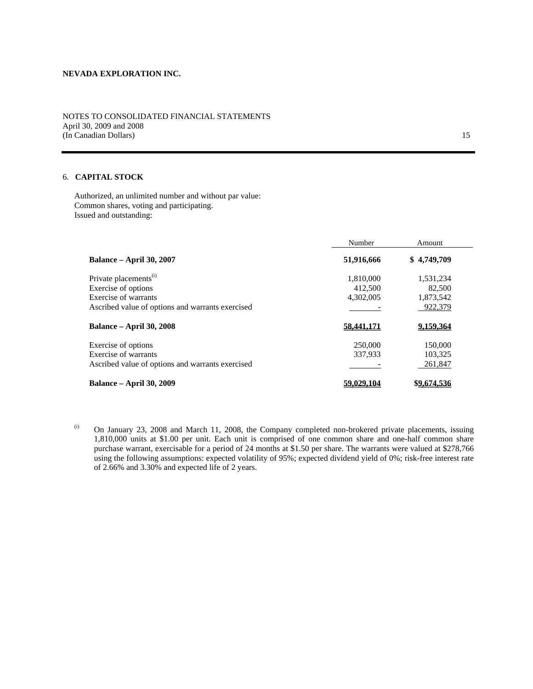NOTES TO CONSOLIDATED FINANCIAL STATEMENTS April 30, 2009 and 2008 (In Canadian Dollars) 15

# 6. **CAPITAL STOCK**

Authorized, an unlimited number and without par value: Common shares, voting and participating. Issued and outstanding:

|                                                  | Number     | Amount      |  |
|--------------------------------------------------|------------|-------------|--|
| <b>Balance – April 30, 2007</b>                  | 51,916,666 | \$4,749,709 |  |
| Private placements <sup>(i)</sup>                | 1,810,000  | 1,531,234   |  |
| Exercise of options                              | 412.500    | 82,500      |  |
| Exercise of warrants                             | 4,302,005  | 1,873,542   |  |
| Ascribed value of options and warrants exercised |            | 922,379     |  |
| <b>Balance – April 30, 2008</b>                  | 58,441,171 | 9.159.364   |  |
| Exercise of options                              | 250,000    | 150,000     |  |
| Exercise of warrants                             | 337.933    | 103,325     |  |
| Ascribed value of options and warrants exercised |            | 261,847     |  |
| <b>Balance – April 30, 2009</b>                  | 59,029,104 | \$9,674,536 |  |

(i) On January 23, 2008 and March 11, 2008, the Company completed non-brokered private placements, issuing 1,810,000 units at \$1.00 per unit. Each unit is comprised of one common share and one-half common share purchase warrant, exercisable for a period of 24 months at \$1.50 per share. The warrants were valued at \$278,766 using the following assumptions: expected volatility of 95%; expected dividend yield of 0%; risk-free interest rate of 2.66% and 3.30% and expected life of 2 years.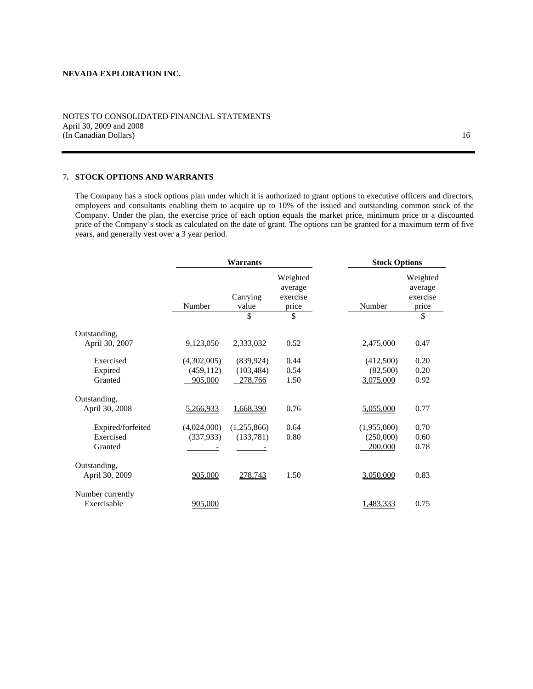## NOTES TO CONSOLIDATED FINANCIAL STATEMENTS April 30, 2009 and 2008 (In Canadian Dollars) 16

# 7**. STOCK OPTIONS AND WARRANTS**

The Company has a stock options plan under which it is authorized to grant options to executive officers and directors, employees and consultants enabling them to acquire up to 10% of the issued and outstanding common stock of the Company. Under the plan, the exercise price of each option equals the market price, minimum price or a discounted price of the Company's stock as calculated on the date of grant. The options can be granted for a maximum term of five years, and generally vest over a 3 year period.

|                   |             | <b>Warrants</b>   |                                          |             | <b>Stock Options</b>                     |  |  |
|-------------------|-------------|-------------------|------------------------------------------|-------------|------------------------------------------|--|--|
|                   | Number      | Carrying<br>value | Weighted<br>average<br>exercise<br>price | Number      | Weighted<br>average<br>exercise<br>price |  |  |
|                   |             | \$                | \$                                       |             | \$                                       |  |  |
| Outstanding,      |             |                   |                                          |             |                                          |  |  |
| April 30, 2007    | 9,123,050   | 2,333,032         | 0.52                                     | 2,475,000   | 0.47                                     |  |  |
| Exercised         | (4,302,005) | (839, 924)        | 0.44                                     | (412,500)   | 0.20                                     |  |  |
| Expired           | (459, 112)  | (103, 484)        | 0.54                                     | (82,500)    | 0.20                                     |  |  |
| Granted           | 905,000     | 278,766           | 1.50                                     | 3,075,000   | 0.92                                     |  |  |
| Outstanding,      |             |                   |                                          |             |                                          |  |  |
| April 30, 2008    | 5,266,933   | 1,668,390         | 0.76                                     | 5,055,000   | 0.77                                     |  |  |
| Expired/forfeited | (4,024,000) | (1,255,866)       | 0.64                                     | (1,955,000) | 0.70                                     |  |  |
| Exercised         | (337, 933)  | (133, 781)        | 0.80                                     | (250,000)   | 0.60                                     |  |  |
| Granted           |             |                   |                                          | 200,000     | 0.78                                     |  |  |
| Outstanding,      |             |                   |                                          |             |                                          |  |  |
| April 30, 2009    | 905,000     | 278,743           | 1.50                                     | 3,050,000   | 0.83                                     |  |  |
| Number currently  |             |                   |                                          |             |                                          |  |  |
| Exercisable       | 905,000     |                   |                                          | 1,483,333   | 0.75                                     |  |  |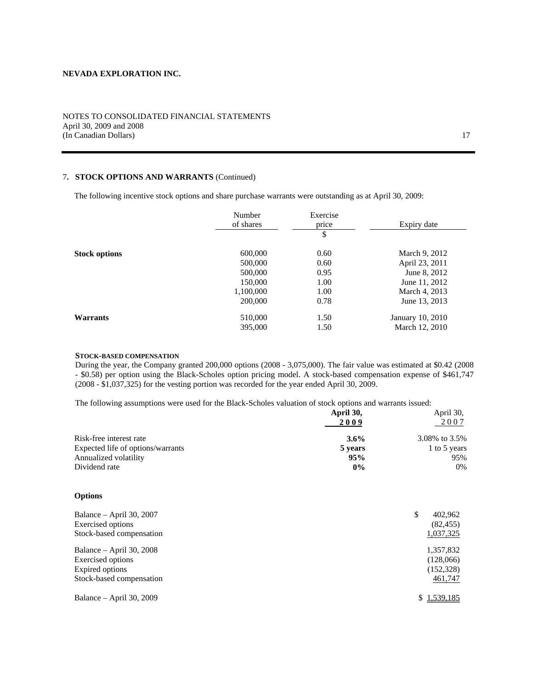### NOTES TO CONSOLIDATED FINANCIAL STATEMENTS April 30, 2009 and 2008 (In Canadian Dollars) 17

# 7**. STOCK OPTIONS AND WARRANTS** (Continued)

The following incentive stock options and share purchase warrants were outstanding as at April 30, 2009:

|                      | Number    | Exercise |                  |
|----------------------|-----------|----------|------------------|
|                      | of shares | price    | Expiry date      |
|                      |           | \$       |                  |
| <b>Stock options</b> | 600,000   | 0.60     | March 9, 2012    |
|                      | 500,000   | 0.60     | April 23, 2011   |
|                      | 500,000   | 0.95     | June 8, 2012     |
|                      | 150,000   | 1.00     | June 11, 2012    |
|                      | 1,100,000 | 1.00     | March 4, 2013    |
|                      | 200,000   | 0.78     | June 13, 2013    |
| <b>Warrants</b>      | 510,000   | 1.50     | January 10, 2010 |
|                      | 395,000   | 1.50     | March 12, 2010   |

#### **STOCK-BASED COMPENSATION**

During the year, the Company granted 200,000 options (2008 - 3,075,000). The fair value was estimated at \$0.42 (2008 - \$0.58) per option using the Black-Scholes option pricing model. A stock-based compensation expense of \$461,747 (2008 - \$1,037,325) for the vesting portion was recorded for the year ended April 30, 2009.

The following assumptions were used for the Black-Scholes valuation of stock options and warrants issued:

| The following assumptions were used for the Diack-Scholes valuation of stock options and warrants issued. |           |               |
|-----------------------------------------------------------------------------------------------------------|-----------|---------------|
|                                                                                                           | April 30, | April 30,     |
|                                                                                                           | 2009      | 2007          |
| Risk-free interest rate                                                                                   | $3.6\%$   | 3.08% to 3.5% |
| Expected life of options/warrants                                                                         | 5 years   | 1 to 5 years  |
| Annualized volatility                                                                                     | 95%       | 95%           |
| Dividend rate                                                                                             | $0\%$     | $0\%$         |
|                                                                                                           |           |               |

### **Options**

| Balance – April 30, 2007<br><b>Exercised</b> options<br>Stock-based compensation             | \$<br>402,962<br>(82, 455)<br>1,037,325        |
|----------------------------------------------------------------------------------------------|------------------------------------------------|
| Balance – April 30, 2008<br>Exercised options<br>Expired options<br>Stock-based compensation | 1,357,832<br>(128,066)<br>(152,328)<br>461,747 |
| Balance – April 30, 2009                                                                     | \$1,539,185                                    |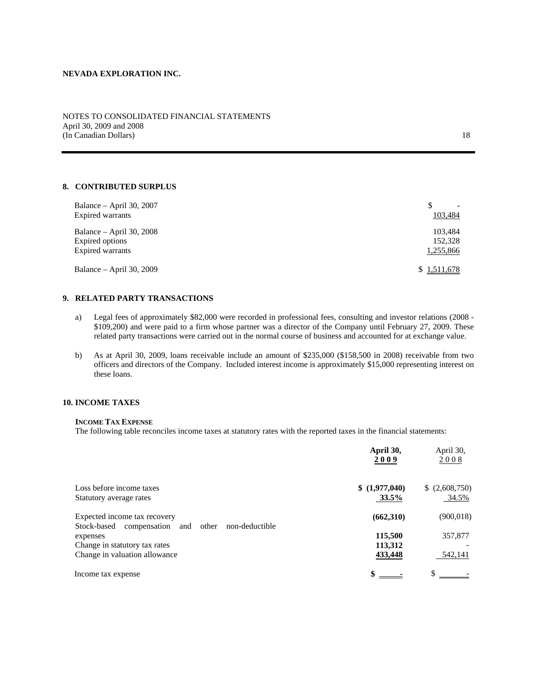## NOTES TO CONSOLIDATED FINANCIAL STATEMENTS April 30, 2009 and 2008 (In Canadian Dollars) 18

# **8. CONTRIBUTED SURPLUS**

| Balance – April 30, 2007<br>Expired warrants                    | 103,484                         |
|-----------------------------------------------------------------|---------------------------------|
| Balance – April 30, 2008<br>Expired options<br>Expired warrants | 103.484<br>152,328<br>1,255,866 |
| Balance $-$ April 30, 2009                                      | \$1,511,678                     |

# **9. RELATED PARTY TRANSACTIONS**

- a) Legal fees of approximately \$82,000 were recorded in professional fees, consulting and investor relations (2008 \$109,200) and were paid to a firm whose partner was a director of the Company until February 27, 2009. These related party transactions were carried out in the normal course of business and accounted for at exchange value.
- b) As at April 30, 2009, loans receivable include an amount of \$235,000 (\$158,500 in 2008) receivable from two officers and directors of the Company. Included interest income is approximately \$15,000 representing interest on these loans.

# **10. INCOME TAXES**

### **INCOME TAX EXPENSE**

The following table reconciles income taxes at statutory rates with the reported taxes in the financial statements:

|                                                            | April 30,<br>2009 | April 30,<br>2008 |
|------------------------------------------------------------|-------------------|-------------------|
| Loss before income taxes                                   | \$(1,977,040)     | (2,608,750)       |
| Statutory average rates                                    | 33.5%             | 34.5%             |
| Expected income tax recovery                               | (662,310)         | (900, 018)        |
| Stock-based compensation<br>other<br>non-deductible<br>and |                   |                   |
| expenses                                                   | 115,500           | 357,877           |
| Change in statutory tax rates                              | 113,312           |                   |
| Change in valuation allowance                              | 433,448           | 542,141           |
| Income tax expense                                         |                   | S.                |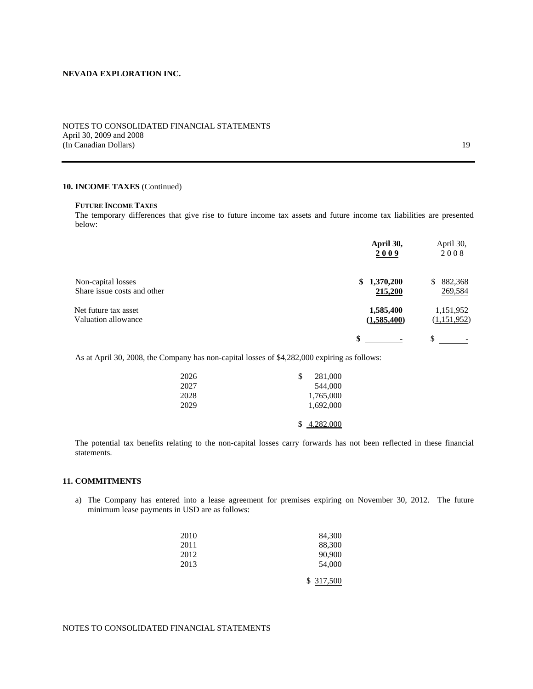### NOTES TO CONSOLIDATED FINANCIAL STATEMENTS April 30, 2009 and 2008 (In Canadian Dollars) 19

### **10. INCOME TAXES** (Continued)

### **FUTURE INCOME TAXES**

The temporary differences that give rise to future income tax assets and future income tax liabilities are presented below:

|                                                   | April 30,<br>2009        | April 30,<br>2008        |
|---------------------------------------------------|--------------------------|--------------------------|
| Non-capital losses<br>Share issue costs and other | \$1,370,200<br>215,200   | 882,368<br>S.<br>269,584 |
| Net future tax asset<br>Valuation allowance       | 1,585,400<br>(1,585,400) | 1,151,952<br>(1,151,952) |
|                                                   |                          |                          |

As at April 30, 2008, the Company has non-capital losses of \$4,282,000 expiring as follows:

| 2026 | 281,000        |
|------|----------------|
| 2027 | 544,000        |
| 2028 | 1,765,000      |
| 2029 | 1,692,000      |
|      |                |
|      | 4,282,000<br>S |

The potential tax benefits relating to the non-capital losses carry forwards has not been reflected in these financial statements.

### **11. COMMITMENTS**

a) The Company has entered into a lease agreement for premises expiring on November 30, 2012. The future minimum lease payments in USD are as follows:

| 2010 | 84,300    |
|------|-----------|
| 2011 | 88,300    |
| 2012 | 90,900    |
| 2013 | 54,000    |
|      | \$317,500 |

# NOTES TO CONSOLIDATED FINANCIAL STATEMENTS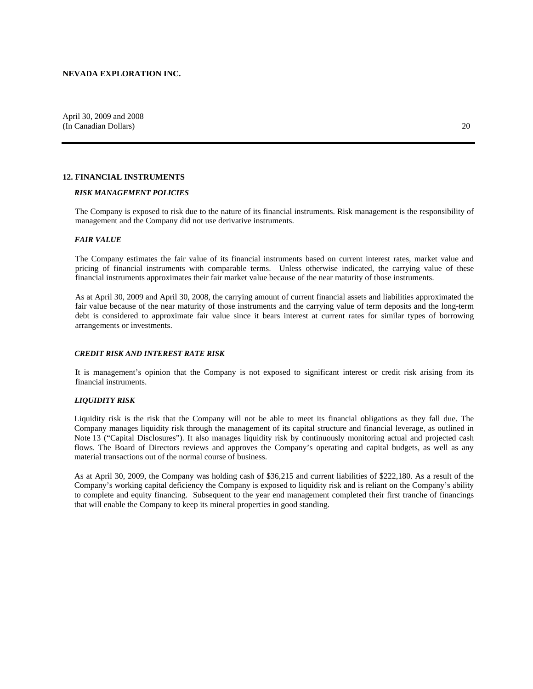### **12. FINANCIAL INSTRUMENTS**

#### *RISK MANAGEMENT POLICIES*

The Company is exposed to risk due to the nature of its financial instruments. Risk management is the responsibility of management and the Company did not use derivative instruments.

#### *FAIR VALUE*

The Company estimates the fair value of its financial instruments based on current interest rates, market value and pricing of financial instruments with comparable terms. Unless otherwise indicated, the carrying value of these financial instruments approximates their fair market value because of the near maturity of those instruments.

As at April 30, 2009 and April 30, 2008, the carrying amount of current financial assets and liabilities approximated the fair value because of the near maturity of those instruments and the carrying value of term deposits and the long-term debt is considered to approximate fair value since it bears interest at current rates for similar types of borrowing arrangements or investments.

#### *CREDIT RISK AND INTEREST RATE RISK*

It is management's opinion that the Company is not exposed to significant interest or credit risk arising from its financial instruments.

### *LIQUIDITY RISK*

Liquidity risk is the risk that the Company will not be able to meet its financial obligations as they fall due. The Company manages liquidity risk through the management of its capital structure and financial leverage, as outlined in Note 13 ("Capital Disclosures"). It also manages liquidity risk by continuously monitoring actual and projected cash flows. The Board of Directors reviews and approves the Company's operating and capital budgets, as well as any material transactions out of the normal course of business.

As at April 30, 2009, the Company was holding cash of \$36,215 and current liabilities of \$222,180. As a result of the Company's working capital deficiency the Company is exposed to liquidity risk and is reliant on the Company's ability to complete and equity financing. Subsequent to the year end management completed their first tranche of financings that will enable the Company to keep its mineral properties in good standing.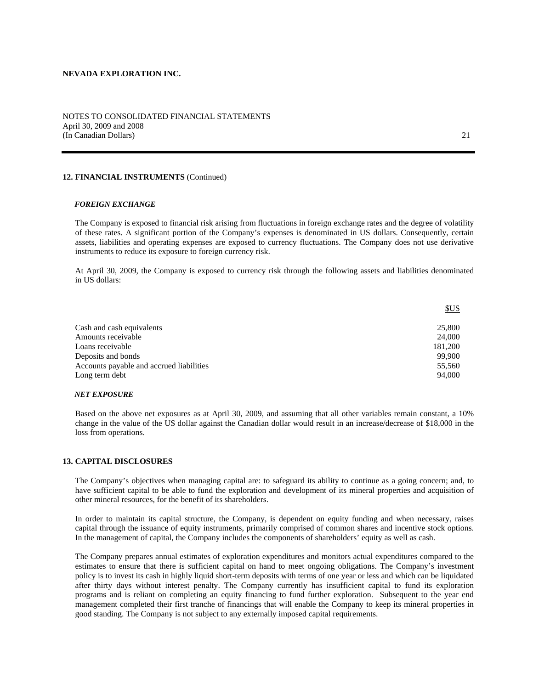### NOTES TO CONSOLIDATED FINANCIAL STATEMENTS April 30, 2009 and 2008 (In Canadian Dollars) 21

### **12. FINANCIAL INSTRUMENTS** (Continued)

#### *FOREIGN EXCHANGE*

The Company is exposed to financial risk arising from fluctuations in foreign exchange rates and the degree of volatility of these rates. A significant portion of the Company's expenses is denominated in US dollars. Consequently, certain assets, liabilities and operating expenses are exposed to currency fluctuations. The Company does not use derivative instruments to reduce its exposure to foreign currency risk.

At April 30, 2009, the Company is exposed to currency risk through the following assets and liabilities denominated in US dollars:

|                                          | <u>SUS</u> |
|------------------------------------------|------------|
| Cash and cash equivalents                | 25,800     |
| Amounts receivable                       | 24,000     |
| Loans receivable                         | 181,200    |
| Deposits and bonds                       | 99.900     |
| Accounts payable and accrued liabilities | 55.560     |
| Long term debt                           | 94,000     |

#### *NET EXPOSURE*

Based on the above net exposures as at April 30, 2009, and assuming that all other variables remain constant, a 10% change in the value of the US dollar against the Canadian dollar would result in an increase/decrease of \$18,000 in the loss from operations.

### **13. CAPITAL DISCLOSURES**

The Company's objectives when managing capital are: to safeguard its ability to continue as a going concern; and, to have sufficient capital to be able to fund the exploration and development of its mineral properties and acquisition of other mineral resources, for the benefit of its shareholders.

In order to maintain its capital structure, the Company, is dependent on equity funding and when necessary, raises capital through the issuance of equity instruments, primarily comprised of common shares and incentive stock options. In the management of capital, the Company includes the components of shareholders' equity as well as cash.

The Company prepares annual estimates of exploration expenditures and monitors actual expenditures compared to the estimates to ensure that there is sufficient capital on hand to meet ongoing obligations. The Company's investment policy is to invest its cash in highly liquid short-term deposits with terms of one year or less and which can be liquidated after thirty days without interest penalty. The Company currently has insufficient capital to fund its exploration programs and is reliant on completing an equity financing to fund further exploration. Subsequent to the year end management completed their first tranche of financings that will enable the Company to keep its mineral properties in good standing. The Company is not subject to any externally imposed capital requirements.